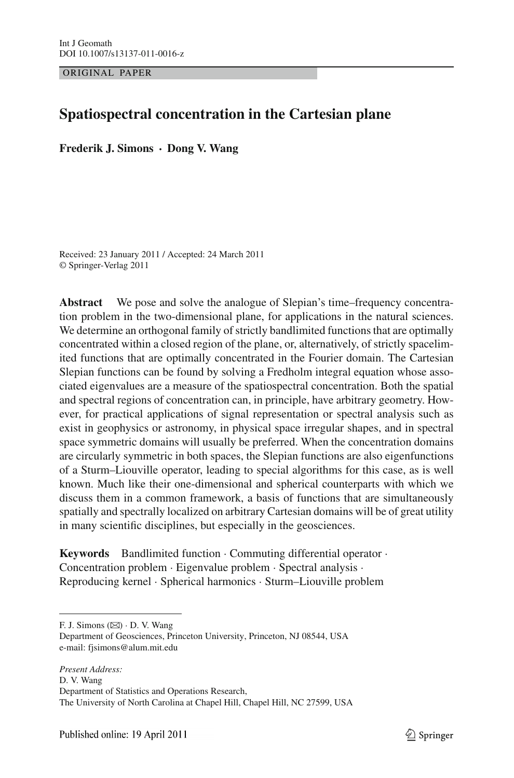ORIGINAL PAPER

# **Spatiospectral concentration in the Cartesian plane**

**Frederik J. Simons · Dong V. Wang**

Received: 23 January 2011 / Accepted: 24 March 2011 © Springer-Verlag 2011

**Abstract** We pose and solve the analogue of Slepian's time–frequency concentration problem in the two-dimensional plane, for applications in the natural sciences. We determine an orthogonal family of strictly bandlimited functions that are optimally concentrated within a closed region of the plane, or, alternatively, of strictly spacelimited functions that are optimally concentrated in the Fourier domain. The Cartesian Slepian functions can be found by solving a Fredholm integral equation whose associated eigenvalues are a measure of the spatiospectral concentration. Both the spatial and spectral regions of concentration can, in principle, have arbitrary geometry. However, for practical applications of signal representation or spectral analysis such as exist in geophysics or astronomy, in physical space irregular shapes, and in spectral space symmetric domains will usually be preferred. When the concentration domains are circularly symmetric in both spaces, the Slepian functions are also eigenfunctions of a Sturm–Liouville operator, leading to special algorithms for this case, as is well known. Much like their one-dimensional and spherical counterparts with which we discuss them in a common framework, a basis of functions that are simultaneously spatially and spectrally localized on arbitrary Cartesian domains will be of great utility in many scientific disciplines, but especially in the geosciences.

**Keywords** Bandlimited function · Commuting differential operator · Concentration problem · Eigenvalue problem · Spectral analysis · Reproducing kernel · Spherical harmonics · Sturm–Liouville problem

F. J. Simons (⊠) · D. V. Wang

Department of Geosciences, Princeton University, Princeton, NJ 08544, USA e-mail: fjsimons@alum.mit.edu

*Present Address:* D. V. Wang Department of Statistics and Operations Research, The University of North Carolina at Chapel Hill, Chapel Hill, NC 27599, USA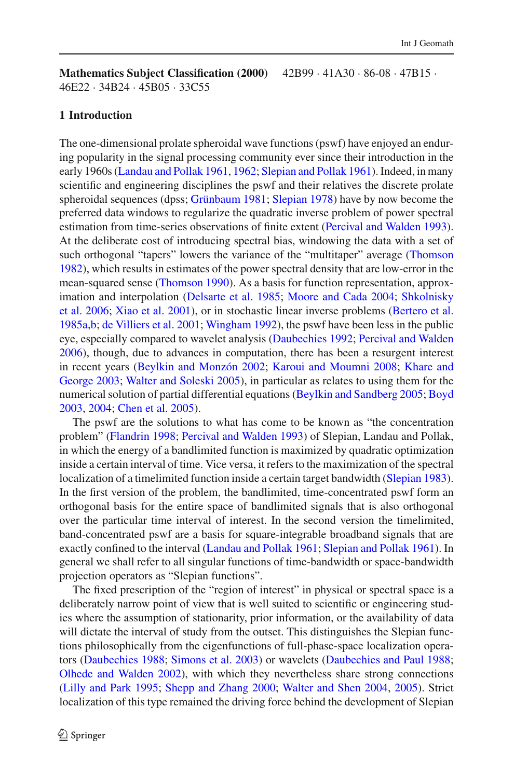**Mathematics Subject Classification (2000)** 42B99 · 41A30 · 86-08 · 47B15 · 46E22 · 34B24 · 45B05 · 33C55

# **1 Introduction**

The one-dimensional prolate spheroidal wave functions (pswf) have enjoyed an enduring popularity in the signal processing community ever since their introduction in the early 1960s [\(Landau and Pollak 1961](#page-32-0), [1962](#page-32-1); [Slepian and Pollak 1961\)](#page-34-0). Indeed, in many scientific and engineering disciplines the pswf and their relatives the discrete prolate spheroidal sequences (dpss; [Grünbaum 1981;](#page-32-2) [Slepian 1978](#page-34-1)) have by now become the preferred data windows to regularize the quadratic inverse problem of power spectral estimation from time-series observations of finite extent [\(Percival and Walden 1993](#page-33-0)). At the deliberate cost of introducing spectral bias, windowing the data with a set of such orthogonal "tapers" lowers the variance of the "multitaper" average [\(Thomson](#page-34-2) [1982\)](#page-34-2), which results in estimates of the power spectral density that are low-error in the mean-squared sense [\(Thomson 1990\)](#page-34-3). As a basis for function representation, approximat[ion](#page-34-4) [and](#page-34-4) [interpolation](#page-34-4) [\(Delsarte et al. 1985](#page-31-0)[;](#page-34-4) [Moore and Cada 2004](#page-33-1); Shkolnisky et al. [2006](#page-34-4); [Xiao et al. 2001](#page-35-0)), or in stochastic linear inverse problems [\(Bertero et al.](#page-30-0) [1985a](#page-30-0)[,b;](#page-30-1) [de Villiers et al. 2001](#page-31-1); [Wingham 1992\)](#page-35-1), the pswf have been less in the public eye, especially compared to wavelet analysis [\(Daubechies 1992;](#page-31-2) [Percival and Walden](#page-33-2) [2006\)](#page-33-2), though, due to advances in computation, there has been a resurgent interest in rece[nt](#page-32-4) [years](#page-32-4) [\(Beylkin and Monzón 2002](#page-30-2)[;](#page-32-4) [Karoui and Moumni 2008;](#page-32-3) Khare and George [2003](#page-32-4); [Walter and Soleski 2005\)](#page-35-2), in particular as relates to using them for the numerical solution of partial differential equations [\(Beylkin and Sandberg 2005;](#page-30-3) [Boyd](#page-31-3) [2003,](#page-31-3) [2004;](#page-31-4) [Chen et al. 2005](#page-31-5)).

The pswf are the solutions to what has come to be known as "the concentration problem" [\(Flandrin 1998](#page-31-6); [Percival and Walden 1993\)](#page-33-0) of Slepian, Landau and Pollak, in which the energy of a bandlimited function is maximized by quadratic optimization inside a certain interval of time. Vice versa, it refers to the maximization of the spectral localization of a timelimited function inside a certain target bandwidth [\(Slepian 1983](#page-34-5)). In the first version of the problem, the bandlimited, time-concentrated pswf form an orthogonal basis for the entire space of bandlimited signals that is also orthogonal over the particular time interval of interest. In the second version the timelimited, band-concentrated pswf are a basis for square-integrable broadband signals that are exactly confined to the interval [\(Landau and Pollak 1961;](#page-32-0) [Slepian and Pollak 1961](#page-34-0)). In general we shall refer to all singular functions of time-bandwidth or space-bandwidth projection operators as "Slepian functions".

The fixed prescription of the "region of interest" in physical or spectral space is a deliberately narrow point of view that is well suited to scientific or engineering studies where the assumption of stationarity, prior information, or the availability of data will dictate the interval of study from the outset. This distinguishes the Slepian functions philosophically from the eigenfunctions of full-phase-space localization operators [\(Daubechies 1988;](#page-31-7) [Simons et al. 2003](#page-34-6)) or wavelets [\(Daubechies and Paul 1988](#page-31-8); [Olhede and Walden 2002\)](#page-33-3), with which they nevertheless share strong connections [\(Lilly and Park 1995](#page-32-5); [Shepp and Zhang 2000;](#page-34-7) [Walter and Shen 2004,](#page-35-3) [2005](#page-35-4)). Strict localization of this type remained the driving force behind the development of Slepian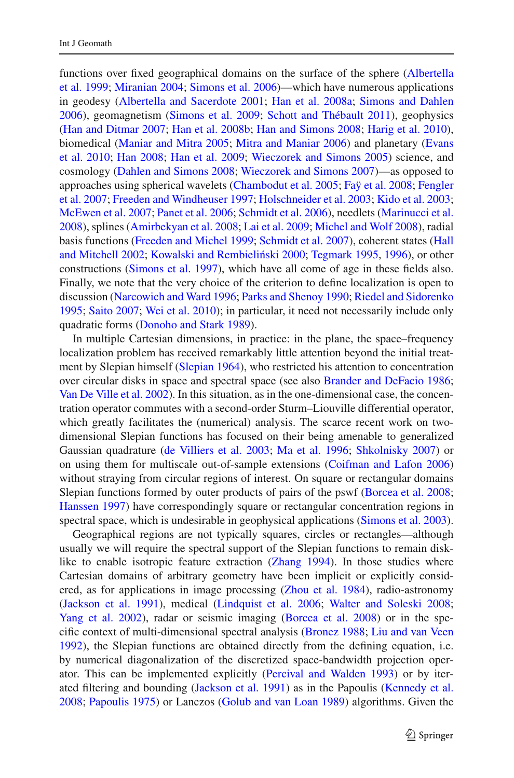func[tions](#page-30-4) [over](#page-30-4) [fixed](#page-30-4) [geographical](#page-30-4) [domains](#page-30-4) [on](#page-30-4) [the](#page-30-4) [surface](#page-30-4) [of](#page-30-4) [the](#page-30-4) [sphere](#page-30-4) [\(](#page-30-4)Albertella et al. [1999;](#page-30-4) [Miranian 2004](#page-33-4); [Simons et al. 2006\)](#page-34-8)—which have numerous applications in geodesy [\(Albertella and Sacerdote 2001](#page-30-5); [Han et al. 2008a](#page-32-6); [Simons and Dahlen](#page-34-9) [2006\)](#page-34-9), geomagnetism [\(Simons et al. 2009](#page-34-10); [Schott and Thébault 2011](#page-34-11)), geophysics [\(Han and Ditmar 2007;](#page-32-7) [Han et al. 2008b;](#page-32-8) [Han and Simons 2008;](#page-32-9) [Harig et al. 2010](#page-32-10)), biomedical [\(Maniar and Mitra 2005](#page-33-5); [Mitra and Maniar 2006](#page-33-6)[\)](#page-31-9) [and](#page-31-9) [planetary](#page-31-9) [\(](#page-31-9)Evans et al. [2010](#page-31-9); [Han 2008;](#page-32-11) [Han et al. 2009](#page-32-12); [Wieczorek and Simons 2005\)](#page-35-5) science, and cosmology [\(Dahlen and Simons 2008;](#page-31-10) [Wieczorek and Simons 2007](#page-35-6))—as opposed to appr[oaches](#page-31-13) [using](#page-31-13) [spherical](#page-31-13) [wavelets](#page-31-13) [\(Chambodut et al. 2005](#page-31-11)[;](#page-31-13) [Faÿ et al. 2008;](#page-31-12) Fengler et al. [2007;](#page-31-13) [Freeden and Windheuser 1997;](#page-31-14) [Holschneider et al. 2003;](#page-32-13) [Kido et al. 2003](#page-32-14); [McEwen et al. 2007;](#page-33-7) [Panet et al. 2006](#page-33-8); [Schmidt et al. 2006](#page-34-12)), needlets [\(Marinucci et al.](#page-33-9) [2008\)](#page-33-9), splines [\(Amirbekyan et al. 2008;](#page-30-6) [Lai et al. 2009;](#page-32-15) [Michel and Wolf 2008\)](#page-33-10), radial basis functions [\(Freeden and Michel 1999;](#page-31-15) [Schmidt et al. 2007](#page-34-13)[\),](#page-32-16) [coherent](#page-32-16) [states](#page-32-16) [\(](#page-32-16)Hall and Mitchell [2002;](#page-32-16) Kowalski and Rembieliński 2000; [Tegmark 1995,](#page-34-14) [1996\)](#page-34-15), or other constructions [\(Simons et al. 1997](#page-34-16)), which have all come of age in these fields also. Finally, we note that the very choice of the criterion to define localization is open to discussion [\(Narcowich and Ward 1996](#page-33-11); [Parks and Shenoy 1990](#page-33-12); [Riedel and Sidorenko](#page-33-13) [1995;](#page-33-13) [Saito 2007](#page-33-14); [Wei et al. 2010\)](#page-35-7); in particular, it need not necessarily include only quadratic forms [\(Donoho and Stark 1989](#page-31-16)).

In multiple Cartesian dimensions, in practice: in the plane, the space–frequency localization problem has received remarkably little attention beyond the initial treatment by Slepian himself [\(Slepian 1964](#page-34-17)), who restricted his attention to concentration over circular disks in space and spectral space (see also [Brander and DeFacio 1986](#page-31-17); [Van De Ville et al. 2002](#page-34-18)). In this situation, as in the one-dimensional case, the concentration operator commutes with a second-order Sturm–Liouville differential operator, which greatly facilitates the (numerical) analysis. The scarce recent work on twodimensional Slepian functions has focused on their being amenable to generalized Gaussian quadrature [\(de Villiers et al. 2003;](#page-31-18) [Ma et al. 1996](#page-33-15); [Shkolnisky 2007\)](#page-34-19) or on using them for multiscale out-of-sample extensions [\(Coifman and Lafon 2006\)](#page-31-19) without straying from circular regions of interest. On square or rectangular domains Slepian functions formed by outer products of pairs of the pswf [\(Borcea et al. 2008](#page-31-20); [Hanssen 1997](#page-32-18)) have correspondingly square or rectangular concentration regions in spectral space, which is undesirable in geophysical applications [\(Simons et al. 2003](#page-34-6)).

Geographical regions are not typically squares, circles or rectangles—although usually we will require the spectral support of the Slepian functions to remain disklike to enable isotropic feature extraction [\(Zhang 1994](#page-35-8)). In those studies where Cartesian domains of arbitrary geometry have been implicit or explicitly considered, as for applications in image processing [\(Zhou et al. 1984\)](#page-35-9), radio-astronomy [\(Jackson et al. 1991](#page-32-19)), medical [\(Lindquist et al. 2006](#page-33-16); [Walter and Soleski 2008](#page-35-10); [Yang et al. 2002](#page-35-11)), radar or seismic imaging [\(Borcea et al. 2008](#page-31-20)) or in the specific context of multi-dimensional spectral analysis [\(Bronez 1988](#page-31-21); [Liu and van Veen](#page-33-17) [1992\)](#page-33-17), the Slepian functions are obtained directly from the defining equation, i.e. by numerical diagonalization of the discretized space-bandwidth projection operator. This can be implemented explicitly [\(Percival and Walden 1993](#page-33-0)) or by iterated filtering and bounding [\(Jackson et al. 1991](#page-32-19)) as in the Papoulis [\(Kennedy et al.](#page-32-20) [2008;](#page-32-20) [Papoulis 1975](#page-33-18)) or Lanczos [\(Golub and van Loan 1989\)](#page-31-22) algorithms. Given the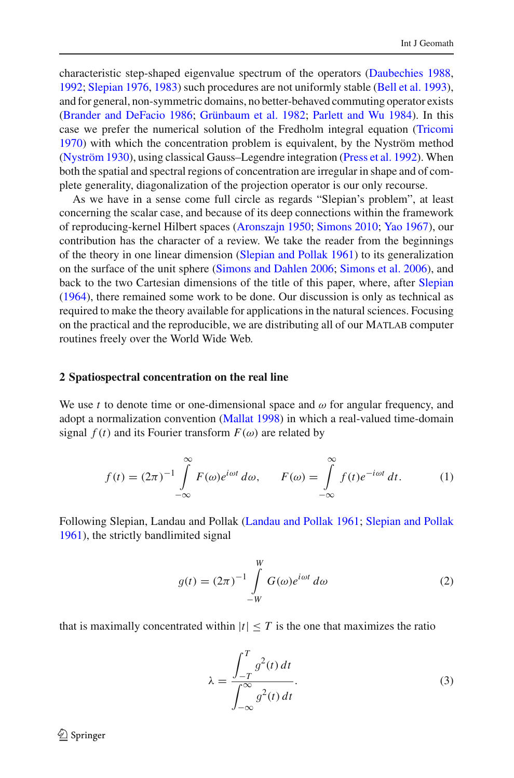characteristic step-shaped eigenvalue spectrum of the operators [\(Daubechies 1988,](#page-31-7) [1992;](#page-31-2) [Slepian 1976](#page-34-20), [1983\)](#page-34-5) such procedures are not uniformly stable [\(Bell et al. 1993](#page-30-7)), and for general, non-symmetric domains, no better-behaved commuting operator exists [\(Brander and DeFacio 1986;](#page-31-17) [Grünbaum et al. 1982](#page-32-21); [Parlett and Wu 1984](#page-33-19)). In this case we prefer the numerical solution of the Fredholm integral equation [\(Tricomi](#page-34-21) [1970\)](#page-34-21) with which the concentration problem is equivalent, by the Nyström method [\(Nyström 1930\)](#page-33-20), using classical Gauss–Legendre integration [\(Press et al. 1992\)](#page-33-21). When both the spatial and spectral regions of concentration are irregular in shape and of complete generality, diagonalization of the projection operator is our only recourse.

As we have in a sense come full circle as regards "Slepian's problem", at least concerning the scalar case, and because of its deep connections within the framework of reproducing-kernel Hilbert spaces [\(Aronszajn 1950;](#page-30-8) [Simons 2010](#page-34-22); [Yao 1967\)](#page-35-12), our contribution has the character of a review. We take the reader from the beginnings of the theory in one linear dimension [\(Slepian and Pollak 1961](#page-34-0)) to its generalization on the surface of the unit sphere [\(Simons and Dahlen 2006;](#page-34-9) [Simons et al. 2006](#page-34-8)), and back to the two Cartesian dimensions of the title of this paper, where, after [Slepian](#page-34-17) [\(1964\)](#page-34-17), there remained some work to be done. Our discussion is only as technical as required to make the theory available for applications in the natural sciences. Focusing on the practical and the reproducible, we are distributing all of our Matlab computer routines freely over the World Wide Web.

#### <span id="page-3-1"></span>**2 Spatiospectral concentration on the real line**

We use *t* to denote time or one-dimensional space and  $\omega$  for angular frequency, and adopt a normalization convention [\(Mallat 1998](#page-33-22)) in which a real-valued time-domain signal  $f(t)$  and its Fourier transform  $F(\omega)$  are related by

$$
f(t) = (2\pi)^{-1} \int_{-\infty}^{\infty} F(\omega) e^{i\omega t} d\omega, \qquad F(\omega) = \int_{-\infty}^{\infty} f(t) e^{-i\omega t} dt.
$$
 (1)

Following Slepian, Landau and Pollak [\(Landau and Pollak 1961;](#page-32-0) [Slepian and Pollak](#page-34-0) [1961\)](#page-34-0), the strictly bandlimited signal

$$
g(t) = (2\pi)^{-1} \int_{-W}^{W} G(\omega) e^{i\omega t} d\omega
$$
 (2)

<span id="page-3-2"></span><span id="page-3-0"></span>that is maximally concentrated within  $|t| \leq T$  is the one that maximizes the ratio

$$
\lambda = \frac{\int_{-T}^{T} g^2(t) dt}{\int_{-\infty}^{\infty} g^2(t) dt}.
$$
\n(3)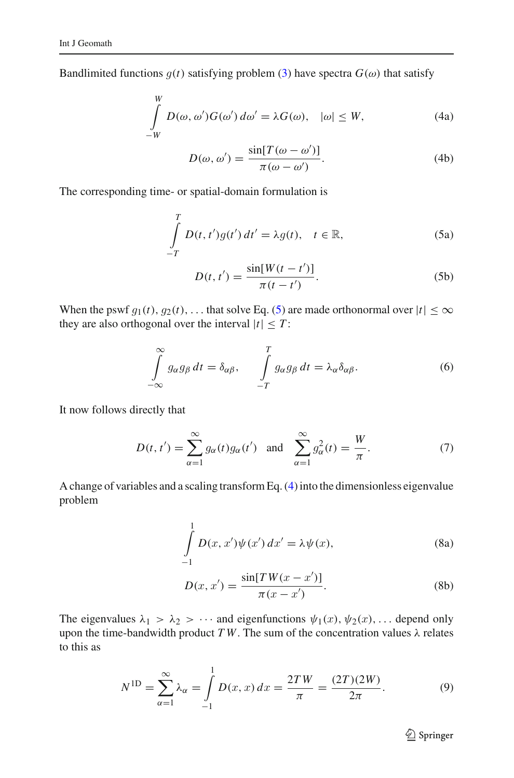Bandlimited functions  $g(t)$  satisfying problem [\(3\)](#page-3-0) have spectra  $G(\omega)$  that satisfy

$$
\int_{-W}^{W} D(\omega, \omega') G(\omega') d\omega' = \lambda G(\omega), \quad |\omega| \le W,\tag{4a}
$$

<span id="page-4-1"></span><span id="page-4-0"></span>
$$
D(\omega, \omega') = \frac{\sin[T(\omega - \omega')]}{\pi(\omega - \omega')}.
$$
 (4b)

<span id="page-4-5"></span>The corresponding time- or spatial-domain formulation is

$$
\int_{-T}^{T} D(t, t')g(t') dt' = \lambda g(t), \quad t \in \mathbb{R},
$$
\n(5a)

$$
D(t, t') = \frac{\sin[W(t - t')]}{\pi(t - t')}.
$$
\n(5b)

When the pswf  $g_1(t)$ ,  $g_2(t)$ , ... that solve Eq. [\(5\)](#page-4-0) are made orthonormal over  $|t| \leq \infty$ they are also orthogonal over the interval  $|t| \leq T$ :

$$
\int_{-\infty}^{\infty} g_{\alpha} g_{\beta} dt = \delta_{\alpha\beta}, \qquad \int_{-T}^{T} g_{\alpha} g_{\beta} dt = \lambda_{\alpha} \delta_{\alpha\beta}.
$$
 (6)

<span id="page-4-3"></span>It now follows directly that

$$
D(t, t') = \sum_{\alpha=1}^{\infty} g_{\alpha}(t) g_{\alpha}(t') \text{ and } \sum_{\alpha=1}^{\infty} g_{\alpha}^{2}(t) = \frac{W}{\pi}.
$$
 (7)

<span id="page-4-2"></span>A change of variables and a scaling transform Eq. [\(4\)](#page-4-1) into the dimensionless eigenvalue problem

$$
\int_{-1}^{1} D(x, x') \psi(x') dx' = \lambda \psi(x),
$$
\n(8a)

$$
D(x, x') = \frac{\sin[T W(x - x')] }{\pi (x - x')}.
$$
 (8b)

<span id="page-4-4"></span>The eigenvalues  $\lambda_1 > \lambda_2 > \cdots$  and eigenfunctions  $\psi_1(x), \psi_2(x), \ldots$  depend only upon the time-bandwidth product  $TW$ . The sum of the concentration values  $\lambda$  relates to this as

$$
N^{1D} = \sum_{\alpha=1}^{\infty} \lambda_{\alpha} = \int_{-1}^{1} D(x, x) dx = \frac{2TW}{\pi} = \frac{(2T)(2W)}{2\pi}.
$$
 (9)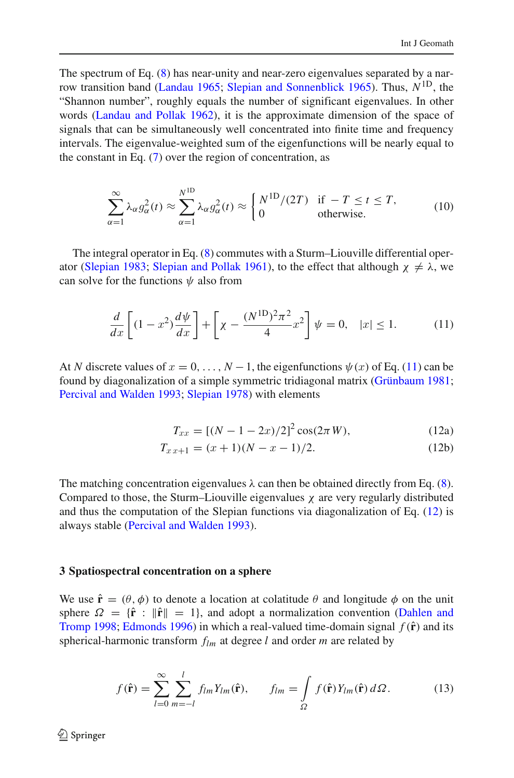The spectrum of Eq. [\(8\)](#page-4-2) has near-unity and near-zero eigenvalues separated by a narrow transition band [\(Landau 1965](#page-32-22); [Slepian and Sonnenblick 1965\)](#page-34-23). Thus, *N*1D, the "Shannon number", roughly equals the number of significant eigenvalues. In other words [\(Landau and Pollak 1962\)](#page-32-1), it is the approximate dimension of the space of signals that can be simultaneously well concentrated into finite time and frequency intervals. The eigenvalue-weighted sum of the eigenfunctions will be nearly equal to the constant in Eq. [\(7\)](#page-4-3) over the region of concentration, as

$$
\sum_{\alpha=1}^{\infty} \lambda_{\alpha} g_{\alpha}^{2}(t) \approx \sum_{\alpha=1}^{N^{1D}} \lambda_{\alpha} g_{\alpha}^{2}(t) \approx \begin{cases} N^{1D}/(2T) & \text{if } -T \le t \le T, \\ 0 & \text{otherwise.} \end{cases}
$$
 (10)

The integral operator in Eq. [\(8\)](#page-4-2) commutes with a Sturm–Liouville differential oper-ator [\(Slepian 1983](#page-34-5); [Slepian and Pollak 1961\)](#page-34-0), to the effect that although  $\chi \neq \lambda$ , we can solve for the functions  $\psi$  also from

$$
\frac{d}{dx}\left[ (1-x^2)\frac{d\psi}{dx} \right] + \left[ \chi - \frac{(N^{1D})^2 \pi^2}{4} x^2 \right] \psi = 0, \quad |x| \le 1. \tag{11}
$$

<span id="page-5-0"></span>At *N* discrete values of  $x = 0, \ldots, N-1$ , the eigenfunctions  $\psi(x)$  of Eq. [\(11\)](#page-5-0) can be found by diagonalization of a simple symmetric tridiagonal matrix [\(Grünbaum 1981](#page-32-2); [Percival and Walden 1993;](#page-33-0) [Slepian 1978](#page-34-1)) with elements

<span id="page-5-1"></span>
$$
T_{xx} = [(N - 1 - 2x)/2]^2 \cos(2\pi W), \tag{12a}
$$

$$
T_{xx+1} = (x+1)(N-x-1)/2.
$$
 (12b)

The matching concentration eigenvalues  $\lambda$  can then be obtained directly from Eq. [\(8\)](#page-4-2). Compared to those, the Sturm–Liouville eigenvalues  $\chi$  are very regularly distributed and thus the computation of the Slepian functions via diagonalization of Eq. [\(12\)](#page-5-1) is always stable [\(Percival and Walden 1993\)](#page-33-0).

#### **3 Spatiospectral concentration on a sphere**

We use  $\hat{\mathbf{r}} = (\theta, \phi)$  to denote a location at colatitude  $\theta$  and longitude  $\phi$  on the unit sphere  $\Omega = {\hat{\bf r} : ||\hat{\bf r}|| = 1}$  $\Omega = {\hat{\bf r} : ||\hat{\bf r}|| = 1}$  $\Omega = {\hat{\bf r} : ||\hat{\bf r}|| = 1}$ [,](#page-31-23) [and](#page-31-23) [adopt](#page-31-23) a [normalization](#page-31-23) [convention](#page-31-23) [\(](#page-31-23)Dahlen and Tromp [1998;](#page-31-23) [Edmonds 1996\)](#page-31-24) in which a real-valued time-domain signal  $f(\hat{\mathbf{r}})$  and its spherical-harmonic transform *flm* at degree *l* and order *m* are related by

$$
f(\hat{\mathbf{r}}) = \sum_{l=0}^{\infty} \sum_{m=-l}^{l} f_{lm} Y_{lm}(\hat{\mathbf{r}}), \qquad f_{lm} = \int_{\Omega} f(\hat{\mathbf{r}}) Y_{lm}(\hat{\mathbf{r}}) d\Omega.
$$
 (13)

 $\bigcircled{2}$  Springer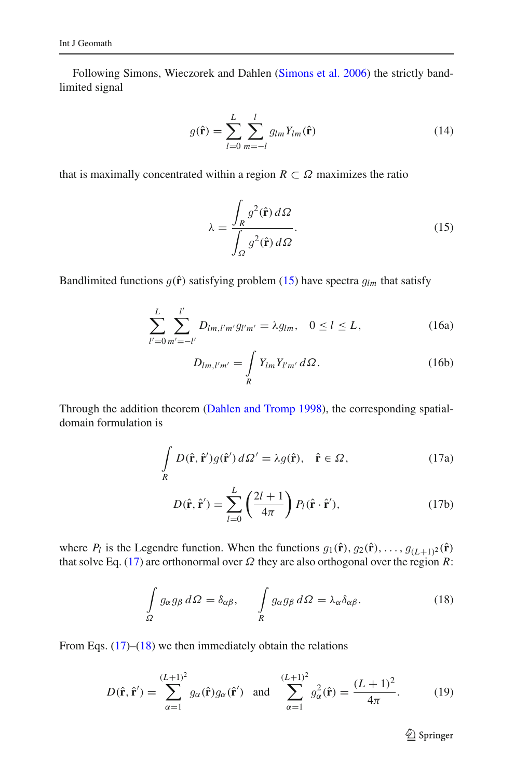Following Simons, Wieczorek and Dahlen [\(Simons et al. 2006\)](#page-34-8) the strictly bandlimited signal

$$
g(\hat{\mathbf{r}}) = \sum_{l=0}^{L} \sum_{m=-l}^{l} g_{lm} Y_{lm}(\hat{\mathbf{r}})
$$
(14)

<span id="page-6-4"></span><span id="page-6-0"></span>that is maximally concentrated within a region  $R \subset \Omega$  maximizes the ratio

<span id="page-6-5"></span>
$$
\lambda = \frac{\int_{R} g^{2}(\hat{\mathbf{r}}) d\Omega}{\int_{\Omega} g^{2}(\hat{\mathbf{r}}) d\Omega}.
$$
 (15)

Bandlimited functions  $g(\hat{\mathbf{r}})$  satisfying problem [\(15\)](#page-6-0) have spectra  $g_{lm}$  that satisfy

$$
\sum_{l'=0}^{L} \sum_{m'=-l'}^{l'} D_{lm,l'm'} g_{l'm'} = \lambda g_{lm}, \quad 0 \le l \le L,
$$
 (16a)

$$
D_{lm,l'm'} = \int\limits_R Y_{lm} Y_{l'm'} d\Omega.
$$
 (16b)

<span id="page-6-6"></span><span id="page-6-1"></span>Through the addition theorem [\(Dahlen and Tromp 1998](#page-31-23)), the corresponding spatialdomain formulation is

$$
\int_{R} D(\hat{\mathbf{r}}, \hat{\mathbf{r}}') g(\hat{\mathbf{r}}') d\Omega' = \lambda g(\hat{\mathbf{r}}), \quad \hat{\mathbf{r}} \in \Omega,
$$
\n(17a)

$$
D(\hat{\mathbf{r}}, \hat{\mathbf{r}}') = \sum_{l=0}^{L} \left(\frac{2l+1}{4\pi}\right) P_l(\hat{\mathbf{r}} \cdot \hat{\mathbf{r}}'),\tag{17b}
$$

where  $P_l$  is the Legendre function. When the functions  $g_1(\hat{\mathbf{r}}), g_2(\hat{\mathbf{r}}), \ldots, g_{(L+1)^2}(\hat{\mathbf{r}})$ that solve Eq. [\(17\)](#page-6-1) are orthonormal over  $\Omega$  they are also orthogonal over the region *R*:

$$
\int_{\Omega} g_{\alpha} g_{\beta} d\Omega = \delta_{\alpha\beta}, \qquad \int_{R} g_{\alpha} g_{\beta} d\Omega = \lambda_{\alpha} \delta_{\alpha\beta}.
$$
\n(18)

<span id="page-6-3"></span><span id="page-6-2"></span>From Eqs.  $(17)$ – $(18)$  we then immediately obtain the relations

$$
D(\hat{\mathbf{r}}, \hat{\mathbf{r}}') = \sum_{\alpha=1}^{(L+1)^2} g_{\alpha}(\hat{\mathbf{r}}) g_{\alpha}(\hat{\mathbf{r}}') \text{ and } \sum_{\alpha=1}^{(L+1)^2} g_{\alpha}^2(\hat{\mathbf{r}}) = \frac{(L+1)^2}{4\pi}.
$$
 (19)

<sup>2</sup> Springer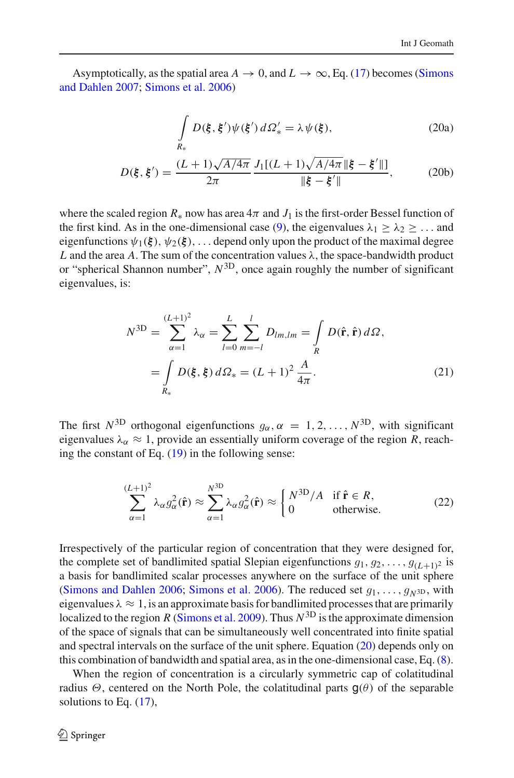<span id="page-7-1"></span>Asympt[otically,](#page-34-24) [as](#page-34-24) [the](#page-34-24) [spatial](#page-34-24) [area](#page-34-24)  $A \to 0$ , and  $L \to \infty$ , Eq. [\(17\)](#page-6-1) becomes (Simons and Dahlen [2007;](#page-34-24) [Simons et al. 2006](#page-34-8))

<span id="page-7-0"></span>
$$
\int_{R_*} D(\xi, \xi') \psi(\xi') d\Omega'_* = \lambda \psi(\xi),
$$
\n(20a)

$$
D(\xi, \xi') = \frac{(L+1)\sqrt{A/4\pi}}{2\pi} \frac{J_1[(L+1)\sqrt{A/4\pi} \|\xi - \xi'\|]}{\|\xi - \xi'\|},
$$
(20b)

where the scaled region  $R_*$  now has area  $4\pi$  and  $J_1$  is the first-order Bessel function of the first kind. As in the one-dimensional case [\(9\)](#page-4-4), the eigenvalues  $\lambda_1 \geq \lambda_2 \geq \ldots$  and eigenfunctions  $\psi_1(\xi)$ ,  $\psi_2(\xi)$ , ... depend only upon the product of the maximal degree *L* and the area *A*. The sum of the concentration values  $\lambda$ , the space-bandwidth product or "spherical Shannon number", *N*3D, once again roughly the number of significant eigenvalues, is:

<span id="page-7-2"></span>
$$
N^{3D} = \sum_{\alpha=1}^{(L+1)^2} \lambda_{\alpha} = \sum_{l=0}^{L} \sum_{m=-l}^{l} D_{lm,lm} = \int_{R} D(\hat{\mathbf{r}}, \hat{\mathbf{r}}) d\Omega,
$$
  
= 
$$
\int_{R_*} D(\xi, \xi) d\Omega_* = (L+1)^2 \frac{A}{4\pi}.
$$
 (21)

The first  $N^{3D}$  orthogonal eigenfunctions  $g_{\alpha}$ ,  $\alpha = 1, 2, ..., N^{3D}$ , with significant eigenvalues  $\lambda_{\alpha} \approx 1$ , provide an essentially uniform coverage of the region *R*, reaching the constant of Eq. [\(19\)](#page-6-3) in the following sense:

$$
\sum_{\alpha=1}^{(L+1)^2} \lambda_{\alpha} g_{\alpha}^2(\hat{\mathbf{r}}) \approx \sum_{\alpha=1}^{N^{3D}} \lambda_{\alpha} g_{\alpha}^2(\hat{\mathbf{r}}) \approx \begin{cases} N^{3D}/A & \text{if } \hat{\mathbf{r}} \in R, \\ 0 & \text{otherwise.} \end{cases}
$$
 (22)

Irrespectively of the particular region of concentration that they were designed for, the complete set of bandlimited spatial Slepian eigenfunctions  $q_1, q_2, \ldots, q_{(L+1)^2}$  is a basis for bandlimited scalar processes anywhere on the surface of the unit sphere [\(Simons and Dahlen 2006;](#page-34-9) [Simons et al. 2006](#page-34-8)). The reduced set  $q_1, \ldots, q_N$ <sub>3D</sub>, with eigenvalues  $\lambda \approx 1$ , is an approximate basis for bandlimited processes that are primarily localized to the region *R* [\(Simons et al. 2009](#page-34-10)). Thus  $N^{3D}$  is the approximate dimension of the space of signals that can be simultaneously well concentrated into finite spatial and spectral intervals on the surface of the unit sphere. Equation [\(20\)](#page-7-0) depends only on this combination of bandwidth and spatial area, as in the one-dimensional case, Eq. [\(8\)](#page-4-2).

When the region of concentration is a circularly symmetric cap of colatitudinal radius  $\Theta$ , centered on the North Pole, the colatitudinal parts  $q(\theta)$  of the separable solutions to Eq.  $(17)$ ,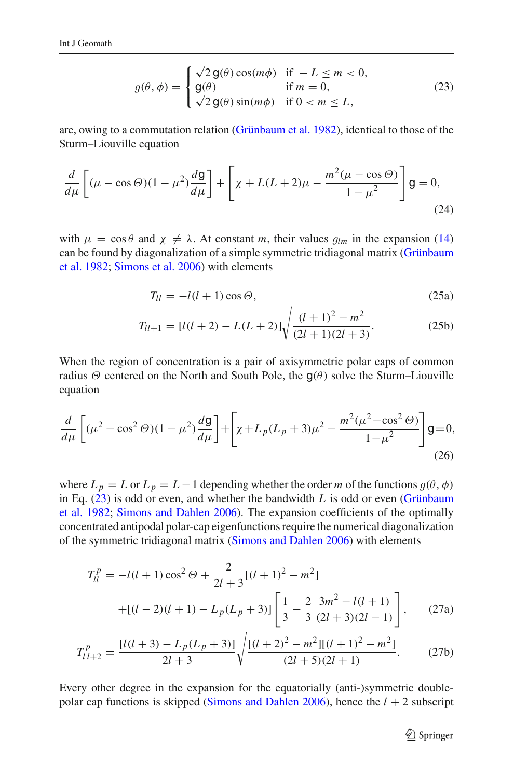$$
g(\theta, \phi) = \begin{cases} \sqrt{2} g(\theta) \cos(m\phi) & \text{if } -L \le m < 0, \\ g(\theta) & \text{if } m = 0, \\ \sqrt{2} g(\theta) \sin(m\phi) & \text{if } 0 < m \le L, \end{cases}
$$
 (23)

<span id="page-8-0"></span>are, owing to a commutation relation [\(Grünbaum et al. 1982\)](#page-32-21), identical to those of the Sturm–Liouville equation

<span id="page-8-2"></span>
$$
\frac{d}{d\mu}\left[ (\mu - \cos\Theta)(1 - \mu^2) \frac{d\mathbf{g}}{d\mu} \right] + \left[ \chi + L(L+2)\mu - \frac{m^2(\mu - \cos\Theta)}{1 - \mu^2} \right] \mathbf{g} = 0,
$$
\n(24)

with  $\mu = \cos \theta$  and  $\chi \neq \lambda$ . At constant *m*, their values  $g_{lm}$  in the expansion [\(14\)](#page-6-4) can [be](#page-32-21) [found](#page-32-21) [by](#page-32-21) [diagonalization](#page-32-21) [of](#page-32-21) [a](#page-32-21) [simple](#page-32-21) [symmetric](#page-32-21) [tridiagonal](#page-32-21) [matrix](#page-32-21) [\(](#page-32-21)Grünbaum et al. [1982;](#page-32-21) [Simons et al. 2006\)](#page-34-8) with elements

$$
T_{ll} = -l(l+1)\cos\Theta,\tag{25a}
$$

$$
T_{ll+1} = [l(l+2) - L(L+2)]\sqrt{\frac{(l+1)^2 - m^2}{(2l+1)(2l+3)}}.
$$
 (25b)

When the region of concentration is a pair of axisymmetric polar caps of common radius  $\Theta$  centered on the North and South Pole, the  $q(\theta)$  solve the Sturm–Liouville equation

<span id="page-8-3"></span>
$$
\frac{d}{d\mu} \left[ (\mu^2 - \cos^2 \Theta)(1 - \mu^2) \frac{d\mathbf{g}}{d\mu} \right] + \left[ \chi + L_p (L_p + 3) \mu^2 - \frac{m^2 (\mu^2 - \cos^2 \Theta)}{1 - \mu^2} \right] \mathbf{g} = 0,
$$
\n(26)

where  $L_p = L$  or  $L_p = L - 1$  depending whether the order *m* of the functions  $g(\theta, \phi)$ in E[q.](#page-32-21)  $(23)$  [is](#page-32-21) [odd](#page-32-21) [or](#page-32-21) [even,](#page-32-21) [and](#page-32-21) [whether](#page-32-21) [the](#page-32-21) [bandwidth](#page-32-21) *L* is odd or even (Grünbaum et al. [1982;](#page-32-21) [Simons and Dahlen 2006\)](#page-34-9). The expansion coefficients of the optimally concentrated antipodal polar-cap eigenfunctions require the numerical diagonalization of the symmetric tridiagonal matrix [\(Simons and Dahlen 2006\)](#page-34-9) with elements

<span id="page-8-1"></span>
$$
T_{ll}^{p} = -l(l+1)\cos^{2}\Theta + \frac{2}{2l+3}[(l+1)^{2} - m^{2}]
$$
  
+[(l-2)(l+1) - L\_{p}(L\_{p} + 3)]  $\left[\frac{1}{3} - \frac{2}{3}\frac{3m^{2} - l(l+1)}{(2l+3)(2l-1)}\right]$ , (27a)

$$
T_{l\,l+2}^{p} = \frac{[l(l+3) - L_p(L_p + 3)]}{2l+3} \sqrt{\frac{[(l+2)^2 - m^2][(l+1)^2 - m^2]}{(2l+5)(2l+1)}}.
$$
 (27b)

Every other degree in the expansion for the equatorially (anti-)symmetric double-polar cap functions is skipped [\(Simons and Dahlen 2006\)](#page-34-9), hence the  $l + 2$  subscript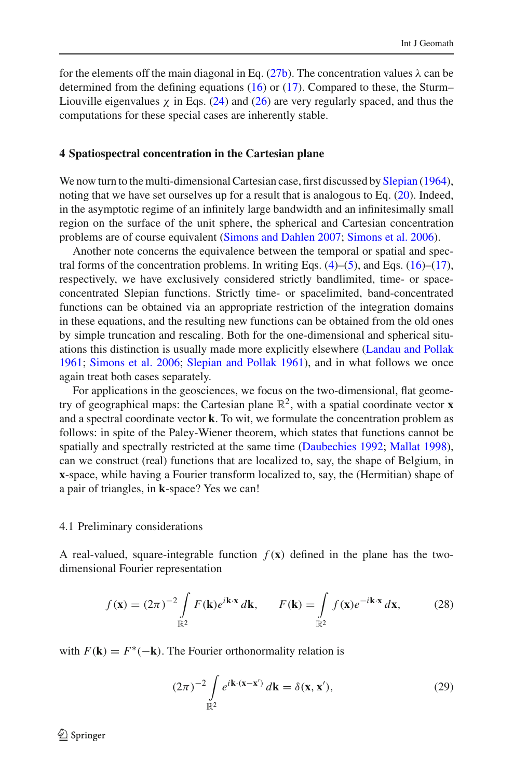for the elements off the main diagonal in Eq.  $(27b)$ . The concentration values  $\lambda$  can be determined from the defining equations  $(16)$  or  $(17)$ . Compared to these, the Sturm– Liouville eigenvalues  $\chi$  in Eqs. [\(24\)](#page-8-2) and [\(26\)](#page-8-3) are very regularly spaced, and thus the computations for these special cases are inherently stable.

#### <span id="page-9-1"></span>**4 Spatiospectral concentration in the Cartesian plane**

We now turn to the multi-dimensional Cartesian case, first discussed by [Slepian](#page-34-17) [\(1964](#page-34-17)), noting that we have set ourselves up for a result that is analogous to Eq. [\(20\)](#page-7-0). Indeed, in the asymptotic regime of an infinitely large bandwidth and an infinitesimally small region on the surface of the unit sphere, the spherical and Cartesian concentration problems are of course equivalent [\(Simons and Dahlen 2007;](#page-34-24) [Simons et al. 2006](#page-34-8)).

Another note concerns the equivalence between the temporal or spatial and spectral forms of the concentration problems. In writing Eqs.  $(4)$ – $(5)$ , and Eqs.  $(16)$ – $(17)$ , respectively, we have exclusively considered strictly bandlimited, time- or spaceconcentrated Slepian functions. Strictly time- or spacelimited, band-concentrated functions can be obtained via an appropriate restriction of the integration domains in these equations, and the resulting new functions can be obtained from the old ones by simple truncation and rescaling. Both for the one-dimensional and spherical situations this distinction is usually made more explicitly elsewhere [\(Landau and Pollak](#page-32-0) [1961;](#page-32-0) [Simons et al. 2006;](#page-34-8) [Slepian and Pollak 1961](#page-34-0)), and in what follows we once again treat both cases separately.

For applications in the geosciences, we focus on the two-dimensional, flat geometry of geographical maps: the Cartesian plane  $\mathbb{R}^2$ , with a spatial coordinate vector **x** and a spectral coordinate vector **k**. To wit, we formulate the concentration problem as follows: in spite of the Paley-Wiener theorem, which states that functions cannot be spatially and spectrally restricted at the same time [\(Daubechies 1992;](#page-31-2) [Mallat 1998](#page-33-22)), can we construct (real) functions that are localized to, say, the shape of Belgium, in **x**-space, while having a Fourier transform localized to, say, the (Hermitian) shape of a pair of triangles, in **k**-space? Yes we can!

#### 4.1 Preliminary considerations

A real-valued, square-integrable function  $f(\mathbf{x})$  defined in the plane has the twodimensional Fourier representation

$$
f(\mathbf{x}) = (2\pi)^{-2} \int_{\mathbb{R}^2} F(\mathbf{k}) e^{i\mathbf{k} \cdot \mathbf{x}} d\mathbf{k}, \qquad F(\mathbf{k}) = \int_{\mathbb{R}^2} f(\mathbf{x}) e^{-i\mathbf{k} \cdot \mathbf{x}} d\mathbf{x}, \tag{28}
$$

<span id="page-9-2"></span><span id="page-9-0"></span>with  $F(\mathbf{k}) = F^*(-\mathbf{k})$ . The Fourier orthonormality relation is

$$
(2\pi)^{-2} \int\limits_{\mathbb{R}^2} e^{i\mathbf{k}\cdot(\mathbf{x}-\mathbf{x}')} d\mathbf{k} = \delta(\mathbf{x}, \mathbf{x}'),\tag{29}
$$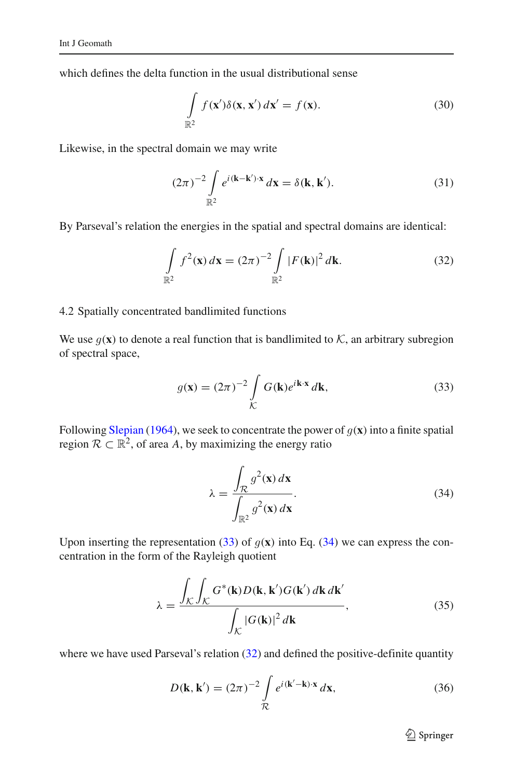which defines the delta function in the usual distributional sense

$$
\int_{\mathbb{R}^2} f(\mathbf{x}') \delta(\mathbf{x}, \mathbf{x}') d\mathbf{x}' = f(\mathbf{x}).
$$
\n(30)

<span id="page-10-5"></span>Likewise, in the spectral domain we may write

$$
(2\pi)^{-2} \int\limits_{\mathbb{R}^2} e^{i(\mathbf{k} - \mathbf{k}') \cdot \mathbf{x}} d\mathbf{x} = \delta(\mathbf{k}, \mathbf{k}'). \tag{31}
$$

<span id="page-10-2"></span>By Parseval's relation the energies in the spatial and spectral domains are identical:

$$
\int_{\mathbb{R}^2} f^2(\mathbf{x}) d\mathbf{x} = (2\pi)^{-2} \int_{\mathbb{R}^2} |F(\mathbf{k})|^2 d\mathbf{k}.
$$
 (32)

## <span id="page-10-6"></span>4.2 Spatially concentrated bandlimited functions

We use  $g(\mathbf{x})$  to denote a real function that is bandlimited to  $K$ , an arbitrary subregion of spectral space,

$$
g(\mathbf{x}) = (2\pi)^{-2} \int\limits_{\mathcal{K}} G(\mathbf{k}) e^{i\mathbf{k} \cdot \mathbf{x}} d\mathbf{k},
$$
 (33)

<span id="page-10-0"></span>Following [Slepian](#page-34-17) [\(1964](#page-34-17)), we seek to concentrate the power of  $g(\mathbf{x})$  into a finite spatial region  $\mathcal{R} \subset \mathbb{R}^2$ , of area *A*, by maximizing the energy ratio

$$
\lambda = \frac{\int_{\mathcal{R}} g^2(\mathbf{x}) d\mathbf{x}}{\int_{\mathbb{R}^2} g^2(\mathbf{x}) d\mathbf{x}}.
$$
\n(34)

<span id="page-10-1"></span>Upon inserting the representation  $(33)$  of  $g(x)$  into Eq.  $(34)$  we can express the concentration in the form of the Rayleigh quotient

$$
\lambda = \frac{\int_{\mathcal{K}} \int_{\mathcal{K}} G^*(\mathbf{k}) D(\mathbf{k}, \mathbf{k}') G(\mathbf{k}') d\mathbf{k} d\mathbf{k}'}{\int_{\mathcal{K}} |G(\mathbf{k})|^2 d\mathbf{k}},
$$
\n(35)

<span id="page-10-4"></span><span id="page-10-3"></span>where we have used Parseval's relation [\(32\)](#page-10-2) and defined the positive-definite quantity

$$
D(\mathbf{k}, \mathbf{k}') = (2\pi)^{-2} \int_{\mathcal{R}} e^{i(\mathbf{k}' - \mathbf{k}) \cdot \mathbf{x}} d\mathbf{x},
$$
 (36)

<sup>2</sup> Springer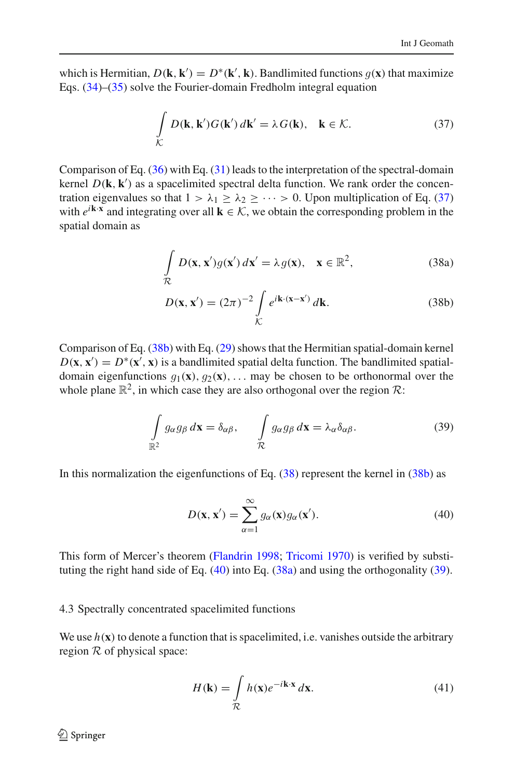which is Hermitian,  $D(\mathbf{k}, \mathbf{k}') = D^*(\mathbf{k}', \mathbf{k})$ . Bandlimited functions  $g(\mathbf{x})$  that maximize Form (34)–(35) solve the Fourier-domain Fredholm integral equation Eqs. [\(34\)](#page-10-1)–[\(35\)](#page-10-3) solve the Fourier-domain Fredholm integral equation

$$
\int_{\mathcal{K}} D(\mathbf{k}, \mathbf{k}') G(\mathbf{k}') d\mathbf{k}' = \lambda G(\mathbf{k}), \quad \mathbf{k} \in \mathcal{K}.
$$
\n(37)

<span id="page-11-2"></span><span id="page-11-0"></span>Comparison of Eq.  $(36)$  with Eq.  $(31)$  leads to the interpretation of the spectral-domain kernel *D*(**k**, **k** ) as a spacelimited spectral delta function. We rank order the concentration eigenvalues so that  $1 > \lambda_1 \geq \lambda_2 \geq \cdots > 0$ . Upon multiplication of Eq. [\(37\)](#page-11-0) with  $e^{i\mathbf{k}\cdot\mathbf{x}}$  and integrating over all  $\mathbf{k} \in \mathcal{K}$ , we obtain the corresponding problem in the spatial domain as

$$
\int_{\mathcal{R}} D(\mathbf{x}, \mathbf{x}') g(\mathbf{x}') d\mathbf{x}' = \lambda g(\mathbf{x}), \quad \mathbf{x} \in \mathbb{R}^2,
$$
\n(38a)

$$
D(\mathbf{x}, \mathbf{x}') = (2\pi)^{-2} \int_{\mathcal{K}} e^{i\mathbf{k} \cdot (\mathbf{x} - \mathbf{x}')} d\mathbf{k}.
$$
 (38b)

<span id="page-11-1"></span>Comparison of Eq. [\(38b\)](#page-11-1) with Eq. [\(29\)](#page-9-0) shows that the Hermitian spatial-domain kernel  $D(\mathbf{x}, \mathbf{x}') = D^*(\mathbf{x}', \mathbf{x})$  is a bandlimited spatial delta function. The bandlimited spatialdomain eigenfunctions  $g_1(\mathbf{x}), g_2(\mathbf{x}), \ldots$  may be chosen to be orthonormal over the whole plane  $\mathbb{R}^2$ , in which case they are also orthogonal over the region  $\mathcal{R}$ :

$$
\int_{\mathbb{R}^2} g_{\alpha} g_{\beta} d\mathbf{x} = \delta_{\alpha\beta}, \qquad \int_{\mathcal{R}} g_{\alpha} g_{\beta} d\mathbf{x} = \lambda_{\alpha} \delta_{\alpha\beta}.
$$
\n(39)

<span id="page-11-4"></span><span id="page-11-3"></span>In this normalization the eigenfunctions of Eq.  $(38)$  represent the kernel in  $(38b)$  as

$$
D(\mathbf{x}, \mathbf{x}') = \sum_{\alpha=1}^{\infty} g_{\alpha}(\mathbf{x}) g_{\alpha}(\mathbf{x}').
$$
 (40)

This form of Mercer's theorem [\(Flandrin 1998;](#page-31-6) [Tricomi 1970](#page-34-21)) is verified by substituting the right hand side of Eq. [\(40\)](#page-11-3) into Eq. [\(38a\)](#page-11-1) and using the orthogonality [\(39\)](#page-11-4).

#### <span id="page-11-6"></span>4.3 Spectrally concentrated spacelimited functions

<span id="page-11-5"></span>We use  $h(x)$  to denote a function that is spacelimited, i.e. vanishes outside the arbitrary region  $R$  of physical space:

$$
H(\mathbf{k}) = \int_{\mathcal{R}} h(\mathbf{x}) e^{-i\mathbf{k} \cdot \mathbf{x}} d\mathbf{x}.
$$
 (41)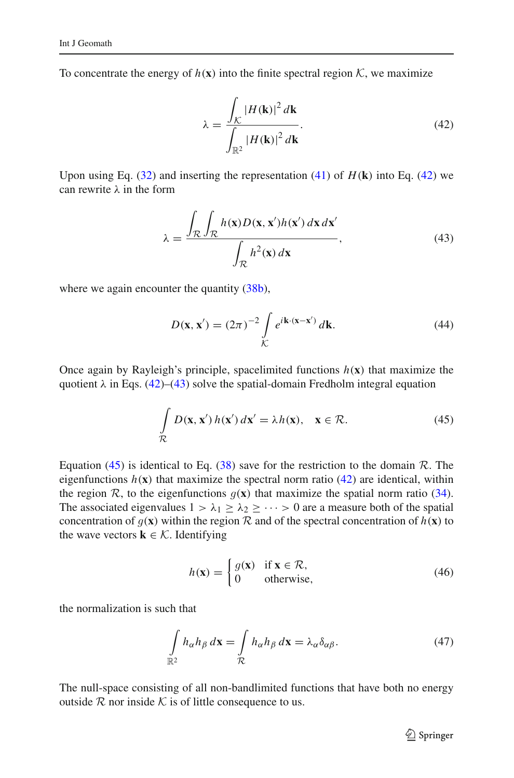<span id="page-12-0"></span>To concentrate the energy of  $h(x)$  into the finite spectral region  $K$ , we maximize

$$
\lambda = \frac{\int_{\mathcal{K}} |H(\mathbf{k})|^2 d\mathbf{k}}{\int_{\mathbb{R}^2} |H(\mathbf{k})|^2 d\mathbf{k}}.
$$
\n(42)

Upon using Eq. [\(32\)](#page-10-2) and inserting the representation [\(41\)](#page-11-5) of  $H(\mathbf{k})$  into Eq. [\(42\)](#page-12-0) we can rewrite λ in the form

$$
\lambda = \frac{\int_{\mathcal{R}} \int_{\mathcal{R}} h(\mathbf{x}) D(\mathbf{x}, \mathbf{x}') h(\mathbf{x}') d\mathbf{x} d\mathbf{x}'}{\int_{\mathcal{R}} h^2(\mathbf{x}) d\mathbf{x}},
$$
(43)

<span id="page-12-3"></span><span id="page-12-1"></span>where we again encounter the quantity [\(38b\)](#page-11-1),

$$
D(\mathbf{x}, \mathbf{x}') = (2\pi)^{-2} \int\limits_{\mathcal{K}} e^{i\mathbf{k} \cdot (\mathbf{x} - \mathbf{x}')} d\mathbf{k}.
$$
 (44)

Once again by Rayleigh's principle, spacelimited functions  $h(x)$  that maximize the quotient  $\lambda$  in Eqs. [\(42\)](#page-12-0)–[\(43\)](#page-12-1) solve the spatial-domain Fredholm integral equation

$$
\int_{\mathcal{R}} D(\mathbf{x}, \mathbf{x}') h(\mathbf{x}') d\mathbf{x}' = \lambda h(\mathbf{x}), \quad \mathbf{x} \in \mathcal{R}.\tag{45}
$$

<span id="page-12-2"></span>Equation [\(45\)](#page-12-2) is identical to Eq. [\(38\)](#page-11-2) save for the restriction to the domain  $\mathcal{R}$ . The eigenfunctions  $h(\mathbf{x})$  that maximize the spectral norm ratio [\(42\)](#page-12-0) are identical, within the region  $\mathcal{R}$ , to the eigenfunctions  $g(\mathbf{x})$  that maximize the spatial norm ratio [\(34\)](#page-10-1). The associated eigenvalues  $1 > \lambda_1 \geq \lambda_2 \geq \cdots > 0$  are a measure both of the spatial concentration of  $g(\mathbf{x})$  within the region  $R$  and of the spectral concentration of  $h(\mathbf{x})$  to the wave vectors  $\mathbf{k} \in \mathcal{K}$ . Identifying

$$
h(\mathbf{x}) = \begin{cases} g(\mathbf{x}) & \text{if } \mathbf{x} \in \mathcal{R}, \\ 0 & \text{otherwise,} \end{cases}
$$
 (46)

the normalization is such that

$$
\int_{\mathbb{R}^2} h_{\alpha} h_{\beta} \, d\mathbf{x} = \int_{\mathcal{R}} h_{\alpha} h_{\beta} \, d\mathbf{x} = \lambda_{\alpha} \delta_{\alpha \beta}.
$$
\n(47)

The null-space consisting of all non-bandlimited functions that have both no energy outside  $R$  nor inside  $K$  is of little consequence to us.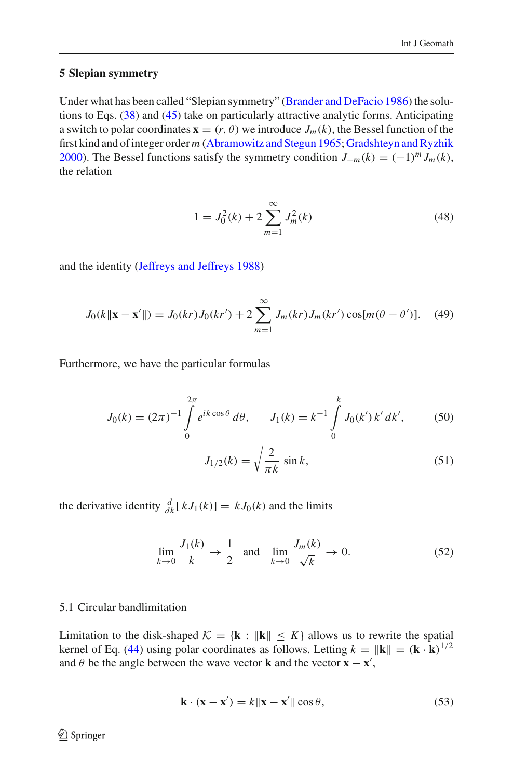# <span id="page-13-4"></span>**5 Slepian symmetry**

Under what has been called "Slepian symmetry" [\(Brander and DeFacio 1986](#page-31-17)) the solutions to Eqs. [\(38\)](#page-11-2) and [\(45\)](#page-12-2) take on particularly attractive analytic forms. Anticipating a switch to polar coordinates  $\mathbf{x} = (r, \theta)$  we introduce  $J_m(k)$ , the Bessel function of the first kind and of integer order*m* [\(Abramowitz and Stegun 1965;](#page-30-9)[Gradshteyn and Ryzhik](#page-31-25) [2000\)](#page-31-25). The Bessel functions satisfy the symmetry condition  $J_{-m}(k) = (-1)^m J_m(k)$ , the relation

$$
1 = J_0^2(k) + 2\sum_{m=1}^{\infty} J_m^2(k)
$$
 (48)

<span id="page-13-3"></span><span id="page-13-2"></span>and the identity [\(Jeffreys and Jeffreys 1988\)](#page-32-23)

$$
J_0(k\|\mathbf{x} - \mathbf{x}'\|) = J_0(kr)J_0(kr') + 2\sum_{m=1}^{\infty} J_m(kr)J_m(kr')\cos[m(\theta - \theta')]. \tag{49}
$$

<span id="page-13-0"></span>Furthermore, we have the particular formulas

$$
J_0(k) = (2\pi)^{-1} \int_0^{2\pi} e^{ik\cos\theta} d\theta, \qquad J_1(k) = k^{-1} \int_0^k J_0(k') k' dk', \qquad (50)
$$

$$
J_{1/2}(k) = \sqrt{\frac{2}{\pi k}} \sin k,
$$
 (51)

<span id="page-13-1"></span>the derivative identity  $\frac{d}{dk} [k J_1(k)] = k J_0(k)$  and the limits

$$
\lim_{k \to 0} \frac{J_1(k)}{k} \to \frac{1}{2} \quad \text{and} \quad \lim_{k \to 0} \frac{J_m(k)}{\sqrt{k}} \to 0. \tag{52}
$$

#### <span id="page-13-5"></span>5.1 Circular bandlimitation

Limitation to the disk-shaped  $K = \{k : ||k|| \leq K\}$  allows us to rewrite the spatial kernel of Eq. [\(44\)](#page-12-3) using polar coordinates as follows. Letting  $k = ||\mathbf{k}|| = (\mathbf{k} \cdot \mathbf{k})^{1/2}$ and  $\theta$  be the angle between the wave vector **k** and the vector **x** − **x**<sup>'</sup>,

$$
\mathbf{k} \cdot (\mathbf{x} - \mathbf{x}') = k \|\mathbf{x} - \mathbf{x}'\| \cos \theta,\tag{53}
$$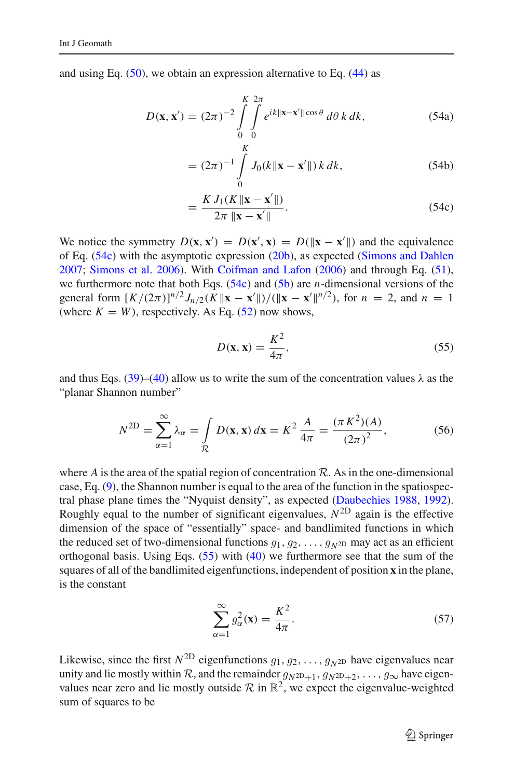<span id="page-14-0"></span>and using Eq.  $(50)$ , we obtain an expression alternative to Eq.  $(44)$  as

$$
D(\mathbf{x}, \mathbf{x}') = (2\pi)^{-2} \int\limits_{0}^{K} \int\limits_{0}^{2\pi} e^{ik\|\mathbf{x} - \mathbf{x}'\| \cos \theta} d\theta k dk,
$$
 (54a)

$$
= (2\pi)^{-1} \int_{0}^{K} J_0(k \|\mathbf{x} - \mathbf{x}'\|) k dk,
$$
 (54b)

$$
= \frac{K J_1(K \|\mathbf{x} - \mathbf{x}'\|)}{2\pi \|\mathbf{x} - \mathbf{x}'\|}.
$$
 (54c)

We notice the symmetry  $D(\mathbf{x}, \mathbf{x}') = D(\mathbf{x}', \mathbf{x}) = D(||\mathbf{x} - \mathbf{x}'||)$  and the equivalence of Eq. [\(54c\)](#page-14-0) with the asymptotic expression [\(20b\)](#page-7-1), as expected [\(Simons and Dahlen](#page-34-24) [2007;](#page-34-24) [Simons et al. 2006\)](#page-34-8). With [Coifman and Lafon](#page-31-19) [\(2006\)](#page-31-19) and through Eq. [\(51\)](#page-13-0), we furthermore note that both Eqs. [\(54c\)](#page-14-0) and [\(5b\)](#page-4-5) are *n*-dimensional versions of the general form  $[K/(2\pi)]^{n/2} J_{n/2}(K || \mathbf{x} - \mathbf{x}' ||)/(||\mathbf{x} - \mathbf{x}' ||^{n/2})$ , for  $n = 2$ , and  $n = 1$ (where  $K = W$ ), respectively. As Eq. [\(52\)](#page-13-1) now shows,

$$
D(\mathbf{x}, \mathbf{x}) = \frac{K^2}{4\pi},\tag{55}
$$

and thus Eqs. [\(39\)](#page-11-4)–[\(40\)](#page-11-3) allow us to write the sum of the concentration values  $\lambda$  as the "planar Shannon number"

<span id="page-14-1"></span>
$$
N^{\text{2D}} = \sum_{\alpha=1}^{\infty} \lambda_{\alpha} = \int_{\mathcal{R}} D(\mathbf{x}, \mathbf{x}) \, d\mathbf{x} = K^2 \, \frac{A}{4\pi} = \frac{(\pi \, K^2)(A)}{(2\pi)^2},\tag{56}
$$

<span id="page-14-2"></span>where *A* is the area of the spatial region of concentration  $R$ . As in the one-dimensional case, Eq. [\(9\)](#page-4-4), the Shannon number is equal to the area of the function in the spatiospectral phase plane times the "Nyquist density", as expected [\(Daubechies 1988,](#page-31-7) [1992](#page-31-2)). Roughly equal to the number of significant eigenvalues, *N*2D again is the effective dimension of the space of "essentially" space- and bandlimited functions in which the reduced set of two-dimensional functions  $g_1, g_2, \ldots, g_{N^2}$  may act as an efficient orthogonal basis. Using Eqs. [\(55\)](#page-14-1) with [\(40\)](#page-11-3) we furthermore see that the sum of the squares of all of the bandlimited eigenfunctions, independent of position **x** in the plane, is the constant

$$
\sum_{\alpha=1}^{\infty} g_{\alpha}^2(\mathbf{x}) = \frac{K^2}{4\pi}.
$$
 (57)

Likewise, since the first  $N^{2D}$  eigenfunctions  $g_1, g_2, \ldots, g_{N^{2D}}$  have eigenvalues near unity and lie mostly within  $\mathcal{R}$ , and the remainder  $g_{N^{2D}+1}$ ,  $g_{N^{2D}+2}$ , ...,  $g_{\infty}$  have eigenvalues near zero and lie mostly outside  $R$  in  $\mathbb{R}^2$ , we expect the eigenvalue-weighted sum of squares to be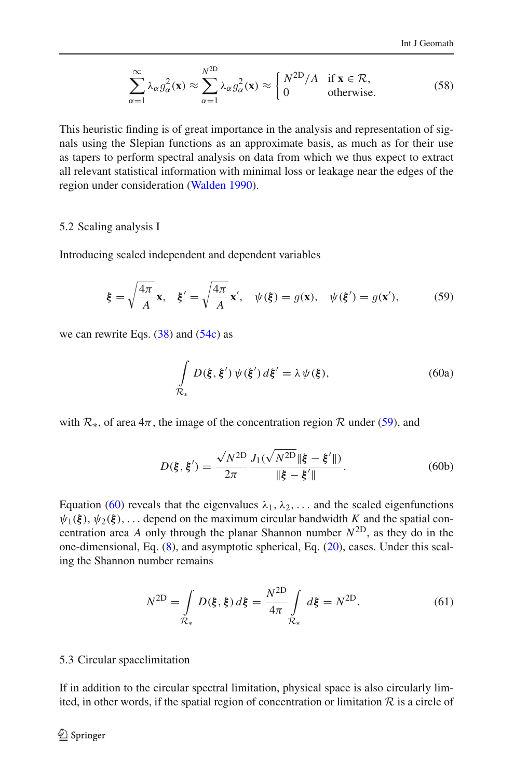$$
\sum_{\alpha=1}^{\infty} \lambda_{\alpha} g_{\alpha}^{2}(\mathbf{x}) \approx \sum_{\alpha=1}^{N^{2D}} \lambda_{\alpha} g_{\alpha}^{2}(\mathbf{x}) \approx \begin{cases} N^{2D}/A & \text{if } \mathbf{x} \in \mathcal{R}, \\ 0 & \text{otherwise.} \end{cases}
$$
(58)

<span id="page-15-2"></span>This heuristic finding is of great importance in the analysis and representation of signals using the Slepian functions as an approximate basis, as much as for their use as tapers to perform spectral analysis on data from which we thus expect to extract all relevant statistical information with minimal loss or leakage near the edges of the region under consideration [\(Walden 1990\)](#page-35-13).

#### 5.2 Scaling analysis I

Introducing scaled independent and dependent variables

$$
\xi = \sqrt{\frac{4\pi}{A}} x, \quad \xi' = \sqrt{\frac{4\pi}{A}} x', \quad \psi(\xi) = g(x), \quad \psi(\xi') = g(x'),
$$
 (59)

<span id="page-15-0"></span>we can rewrite Eqs.  $(38)$  and  $(54c)$  as

<span id="page-15-1"></span>
$$
\int_{\mathcal{R}_*} D(\xi, \xi') \psi(\xi') d\xi' = \lambda \psi(\xi), \tag{60a}
$$

with  $\mathcal{R}_*$ , of area  $4\pi$ , the image of the concentration region  $\mathcal R$  under [\(59\)](#page-15-0), and

$$
D(\xi, \xi') = \frac{\sqrt{N^{2D}}}{2\pi} \frac{J_1(\sqrt{N^{2D}} \|\xi - \xi'\|)}{\|\xi - \xi'\|}.
$$
 (60b)

Equation [\(60\)](#page-15-1) reveals that the eigenvalues  $\lambda_1, \lambda_2, \ldots$  and the scaled eigenfunctions  $\psi_1(\xi)$ ,  $\psi_2(\xi)$ , ... depend on the maximum circular bandwidth *K* and the spatial concentration area *A* only through the planar Shannon number  $N^{2D}$ , as they do in the one-dimensional, Eq. [\(8\)](#page-4-2), and asymptotic spherical, Eq. [\(20\)](#page-7-0), cases. Under this scaling the Shannon number remains

$$
N^{\text{2D}} = \int_{\mathcal{R}_*} D(\xi, \xi) d\xi = \frac{N^{\text{2D}}}{4\pi} \int_{\mathcal{R}_*} d\xi = N^{\text{2D}}.
$$
 (61)

## 5.3 Circular spacelimitation

If in addition to the circular spectral limitation, physical space is also circularly limited, in other words, if the spatial region of concentration or limitation  $R$  is a circle of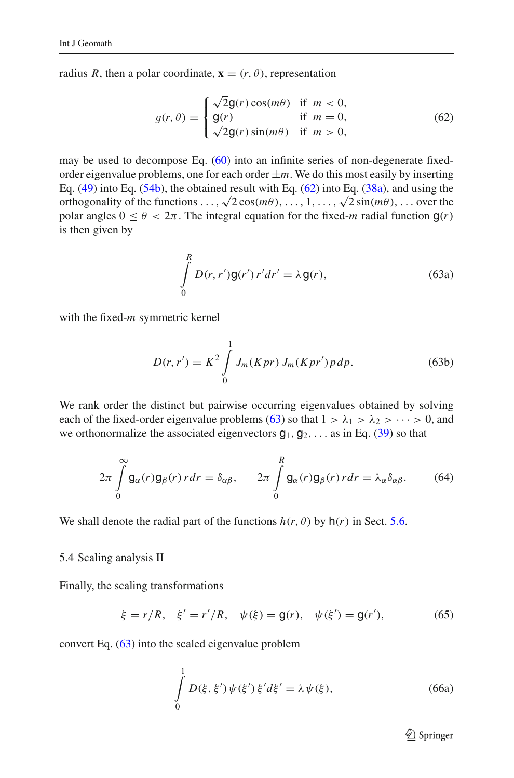<span id="page-16-0"></span>radius *R*, then a polar coordinate,  $\mathbf{x} = (r, \theta)$ , representation

$$
g(r,\theta) = \begin{cases} \sqrt{2}g(r)\cos(m\theta) & \text{if } m < 0, \\ g(r) & \text{if } m = 0, \\ \sqrt{2}g(r)\sin(m\theta) & \text{if } m > 0, \end{cases}
$$
(62)

<span id="page-16-1"></span>may be used to decompose Eq. [\(60\)](#page-15-1) into an infinite series of non-degenerate fixedorder eigenvalue problems, one for each order  $\pm m$ . We do this most easily by inserting Eq.  $(49)$  into Eq.  $(54b)$ , the obtained result with Eq.  $(62)$  into Eq.  $(38a)$ , and using the orthogonality of the functions  $\ldots$ ,  $\sqrt{2}$  cos( $m\theta$ ), ...,  $1, \ldots$ ,  $\sqrt{2}$  sin( $m\theta$ ), ... over the polar angles  $0 \le \theta < 2\pi$ . The integral equation for the fixed-*m* radial function  $g(r)$ is then given by

$$
\int_{0}^{R} D(r, r') \mathsf{g}(r') r' dr' = \lambda \mathsf{g}(r), \tag{63a}
$$

with the fixed-*m* symmetric kernel

$$
D(r, r') = K^2 \int_{0}^{1} J_m(Kpr) J_m(Kpr') p \, dp. \tag{63b}
$$

We rank order the distinct but pairwise occurring eigenvalues obtained by solving each of the fixed-order eigenvalue problems [\(63\)](#page-16-1) so that  $1 > \lambda_1 > \lambda_2 > \cdots > 0$ , and we orthonormalize the associated eigenvectors  $g_1, g_2, \ldots$  as in Eq. [\(39\)](#page-11-4) so that

$$
2\pi \int_{0}^{\infty} \mathsf{g}_{\alpha}(r) \mathsf{g}_{\beta}(r) \, r \, dr = \delta_{\alpha\beta}, \qquad 2\pi \int_{0}^{R} \mathsf{g}_{\alpha}(r) \mathsf{g}_{\beta}(r) \, r \, dr = \lambda_{\alpha} \delta_{\alpha\beta}.
$$
 (64)

<span id="page-16-4"></span>We shall denote the radial part of the functions  $h(r, \theta)$  by  $h(r)$  in Sect. [5.6.](#page-19-0)

#### 5.4 Scaling analysis II

<span id="page-16-3"></span>Finally, the scaling transformations

$$
\xi = r/R, \quad \xi' = r'/R, \quad \psi(\xi) = g(r), \quad \psi(\xi') = g(r'),
$$
 (65)

convert Eq.  $(63)$  into the scaled eigenvalue problem

<span id="page-16-2"></span>
$$
\int_{0}^{1} D(\xi, \xi') \psi(\xi') \xi' d\xi' = \lambda \psi(\xi),
$$
\n(66a)

 $\mathcal{D}$  Springer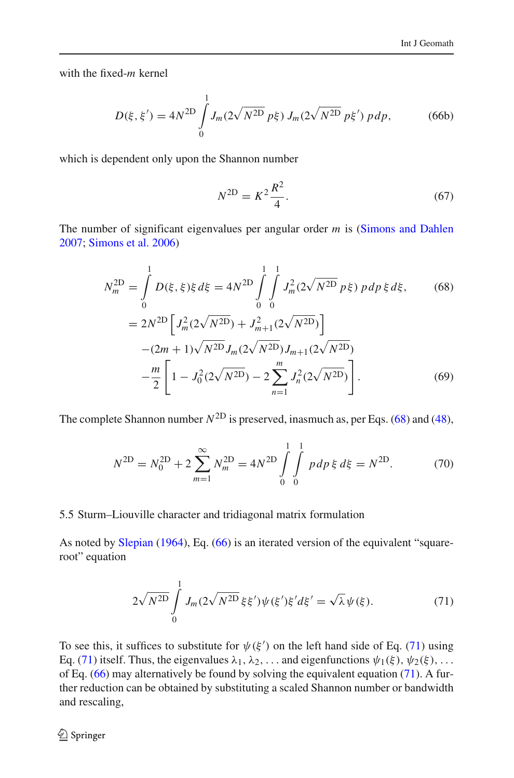with the fixed-*m* kernel

$$
D(\xi, \xi') = 4N^{2D} \int_{0}^{1} J_m(2\sqrt{N^{2D}} p\xi) J_m(2\sqrt{N^{2D}} p\xi') p dp,
$$
 (66b)

which is dependent only upon the Shannon number

$$
N^{\rm 2D} = K^2 \frac{R^2}{4}.
$$
\n(67)

<span id="page-17-0"></span>The number of significant eigenvalues per angular order *m* is [\(Simons and Dahlen](#page-34-24) [2007;](#page-34-24) [Simons et al. 2006](#page-34-8))

<span id="page-17-2"></span>
$$
N_m^{2D} = \int_0^1 D(\xi, \xi) \xi d\xi = 4N^{2D} \int_0^1 \int_0^1 J_m^2 (2\sqrt{N^{2D}} p\xi) p dp \xi d\xi,
$$
(68)  
=  $2N^{2D} \left[ J_m^2 (2\sqrt{N^{2D}}) + J_{m+1}^2 (2\sqrt{N^{2D}}) \right]$   
 $-(2m+1)\sqrt{N^{2D}} J_m (2\sqrt{N^{2D}}) J_{m+1} (2\sqrt{N^{2D}})$   
 $-\frac{m}{2} \left[ 1 - J_0^2 (2\sqrt{N^{2D}}) - 2 \sum_{n=1}^m J_n^2 (2\sqrt{N^{2D}}) \right].$  (69)

<span id="page-17-3"></span>The complete Shannon number  $N^{2D}$  is preserved, inasmuch as, per Eqs. [\(68\)](#page-17-0) and [\(48\)](#page-13-3),

$$
N^{\text{2D}} = N_0^{\text{2D}} + 2 \sum_{m=1}^{\infty} N_m^{\text{2D}} = 4N^{\text{2D}} \int_0^1 \int_0^1 p \, dp \, \xi \, d\xi = N^{\text{2D}}.
$$
 (70)

## 5.5 Sturm–Liouville character and tridiagonal matrix formulation

As noted by [Slepian](#page-34-17) [\(1964\)](#page-34-17), Eq. [\(66\)](#page-16-2) is an iterated version of the equivalent "squareroot" equation

$$
2\sqrt{N^{2D}}\int_{0}^{1}J_{m}(2\sqrt{N^{2D}}\,\xi\xi')\psi(\xi')\xi'd\xi'=\sqrt{\lambda}\,\psi(\xi). \tag{71}
$$

<span id="page-17-1"></span>To see this, it suffices to substitute for  $\psi(\xi')$  on the left hand side of Eq. [\(71\)](#page-17-1) using Eq. [\(71\)](#page-17-1) itself. Thus, the eigenvalues  $\lambda_1, \lambda_2, \ldots$  and eigenfunctions  $\psi_1(\xi), \psi_2(\xi), \ldots$ of Eq. [\(66\)](#page-16-2) may alternatively be found by solving the equivalent equation [\(71\)](#page-17-1). A further reduction can be obtained by substituting a scaled Shannon number or bandwidth and rescaling,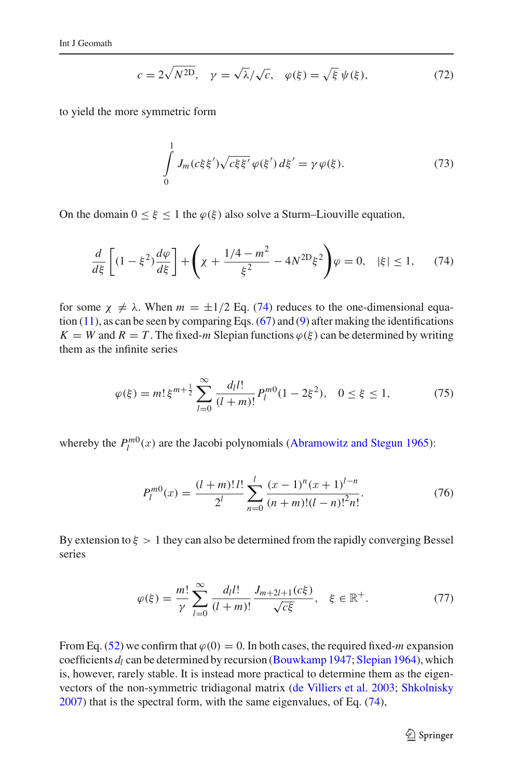$$
c = 2\sqrt{N^{2D}}, \quad \gamma = \sqrt{\lambda}/\sqrt{c}, \quad \varphi(\xi) = \sqrt{\xi} \psi(\xi), \tag{72}
$$

<span id="page-18-4"></span><span id="page-18-3"></span>to yield the more symmetric form

$$
\int_{0}^{1} J_m(c\xi\xi')\sqrt{c\xi\xi'}\,\varphi(\xi')\,d\xi' = \gamma\,\varphi(\xi). \tag{73}
$$

<span id="page-18-0"></span>On the domain  $0 \le \xi \le 1$  the  $\varphi(\xi)$  also solve a Sturm–Liouville equation,

$$
\frac{d}{d\xi} \left[ (1 - \xi^2) \frac{d\varphi}{d\xi} \right] + \left( \chi + \frac{1/4 - m^2}{\xi^2} - 4N^{2D} \xi^2 \right) \varphi = 0, \quad |\xi| \le 1, \tag{74}
$$

for some  $\chi \neq \lambda$ . When  $m = \pm 1/2$  Eq. [\(74\)](#page-18-0) reduces to the one-dimensional equa-tion [\(11\)](#page-5-0), as can be seen by comparing Eqs. [\(67\)](#page-17-2) and [\(9\)](#page-4-4) after making the identifications  $K = W$  and  $R = T$ . The fixed-*m* Slepian functions  $\varphi(\xi)$  can be determined by writing them as the infinite series

$$
\varphi(\xi) = m! \xi^{m+\frac{1}{2}} \sum_{l=0}^{\infty} \frac{d_l l!}{(l+m)!} P_l^{m0} (1 - 2\xi^2), \quad 0 \le \xi \le 1,
$$
 (75)

<span id="page-18-1"></span>whereby the  $P_l^{m0}(x)$  are the Jacobi polynomials [\(Abramowitz and Stegun 1965](#page-30-9)):

$$
P_l^{m0}(x) = \frac{(l+m)! \, l!}{2^l} \sum_{n=0}^l \frac{(x-1)^n (x+1)^{l-n}}{(n+m)!(l-n)!^2 n!}.\tag{76}
$$

By extension to  $\xi > 1$  they can also be determined from the rapidly converging Bessel series

$$
\varphi(\xi) = \frac{m!}{\gamma} \sum_{l=0}^{\infty} \frac{d_l l!}{(l+m)!} \frac{J_{m+2l+1}(c\xi)}{\sqrt{c\xi}}, \quad \xi \in \mathbb{R}^+.
$$
 (77)

<span id="page-18-2"></span>From Eq. [\(52\)](#page-13-1) we confirm that  $\varphi(0) = 0$ . In both cases, the required fixed-*m* expansion coefficients  $d_l$  can be determined by recursion [\(Bouwkamp 1947;](#page-31-26) [Slepian 1964](#page-34-17)), which is, however, rarely stable. It is instead more practical to determine them as the eigenvectors of the non-symmetric tridiagonal matrix [\(de Villiers et al. 2003;](#page-31-18) [Shkolnisky](#page-34-19) [2007\)](#page-34-19) that is the spectral form, with the same eigenvalues, of Eq. [\(74\)](#page-18-0),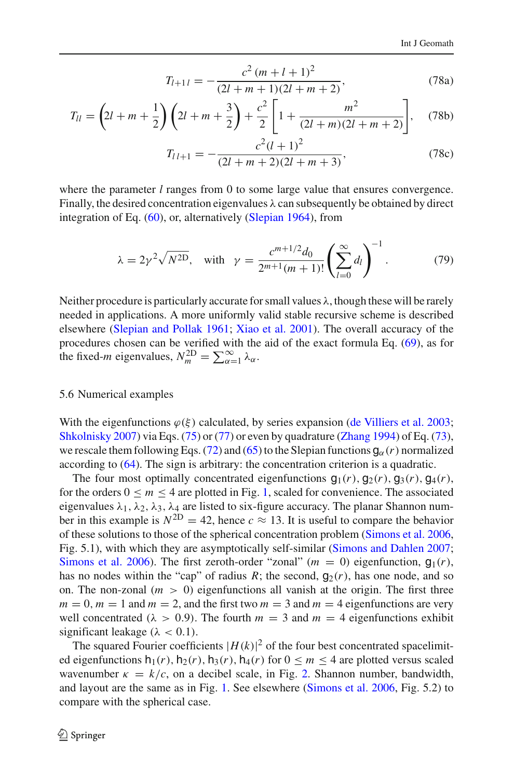$$
T_{l+1} = -\frac{c^2 (m+l+1)^2}{(2l+m+1)(2l+m+2)},
$$
\n(78a)

$$
T_{ll} = \left(2l + m + \frac{1}{2}\right)\left(2l + m + \frac{3}{2}\right) + \frac{c^2}{2}\left[1 + \frac{m^2}{(2l + m)(2l + m + 2)}\right],\tag{78b}
$$

$$
T_{l\,l+1} = -\frac{c^2(l+1)^2}{(2l+m+2)(2l+m+3)},\tag{78c}
$$

where the parameter *l* ranges from 0 to some large value that ensures convergence. Finally, the desired concentration eigenvalues  $\lambda$  can subsequently be obtained by direct integration of Eq. [\(60\)](#page-15-1), or, alternatively [\(Slepian 1964](#page-34-17)), from

$$
\lambda = 2\gamma^2 \sqrt{N^{2D}}, \quad \text{with} \quad \gamma = \frac{c^{m+1/2} d_0}{2^{m+1}(m+1)!} \left(\sum_{l=0}^{\infty} d_l\right)^{-1}.
$$
 (79)

<span id="page-19-1"></span>Neither procedure is particularly accurate for small values  $\lambda$ , though these will be rarely needed in applications. A more uniformly valid stable recursive scheme is described elsewhere [\(Slepian and Pollak 1961](#page-34-0); [Xiao et al. 2001\)](#page-35-0). The overall accuracy of the procedures chosen can be verified with the aid of the exact formula Eq. [\(69\)](#page-17-0), as for the fixed-*m* eigenvalues,  $N_m^{\text{2D}} = \sum_{\alpha=1}^{\infty} \lambda_{\alpha}$ .

# <span id="page-19-0"></span>5.6 Numerical examples

With the eigenfunctions  $\varphi(\xi)$  calculated, by series expansion [\(de Villiers et al. 2003](#page-31-18); [Shkolnisky 2007\)](#page-34-19) via Eqs. [\(75\)](#page-18-1) or [\(77\)](#page-18-2) or even by quadrature [\(Zhang 1994\)](#page-35-8) of Eq. [\(73\)](#page-18-3), we rescale them following Eqs. [\(72\)](#page-18-4) and [\(65\)](#page-16-3) to the Slepian functions  $g_\alpha(r)$  normalized according to [\(64\)](#page-16-4). The sign is arbitrary: the concentration criterion is a quadratic.

The four most optimally concentrated eigenfunctions  $q_1(r)$ ,  $q_2(r)$ ,  $q_3(r)$ ,  $q_4(r)$ , for the orders  $0 \le m \le 4$  are plotted in Fig. [1,](#page-20-0) scaled for convenience. The associated eigenvalues  $\lambda_1$ ,  $\lambda_2$ ,  $\lambda_3$ ,  $\lambda_4$  are listed to six-figure accuracy. The planar Shannon number in this example is  $N^{2D} = 42$ , hence  $c \approx 13$ . It is useful to compare the behavior of these solutions to those of the spherical concentration problem [\(Simons et al. 2006,](#page-34-8) Fig. 5.1), with which they are asymptotically self-similar [\(Simons and Dahlen 2007](#page-34-24); [Simons et al. 2006](#page-34-8)). The first zeroth-order "zonal" ( $m = 0$ ) eigenfunction,  $g_1(r)$ , has no nodes within the "cap" of radius  $R$ ; the second,  $g_2(r)$ , has one node, and so on. The non-zonal  $(m > 0)$  eigenfunctions all vanish at the origin. The first three  $m = 0$ ,  $m = 1$  and  $m = 2$ , and the first two  $m = 3$  and  $m = 4$  eigenfunctions are very well concentrated ( $\lambda > 0.9$ ). The fourth  $m = 3$  and  $m = 4$  eigenfunctions exhibit significant leakage ( $\lambda < 0.1$ ).

The squared Fourier coefficients  $|H(k)|^2$  of the four best concentrated spacelimited eigenfunctions  $h_1(r)$ ,  $h_2(r)$ ,  $h_3(r)$ ,  $h_4(r)$  for  $0 \le m \le 4$  are plotted versus scaled wavenumber  $\kappa = k/c$ , on a decibel scale, in Fig. [2.](#page-21-0) Shannon number, bandwidth, and layout are the same as in Fig. [1.](#page-20-0) See elsewhere [\(Simons et al. 2006,](#page-34-8) Fig. 5.2) to compare with the spherical case.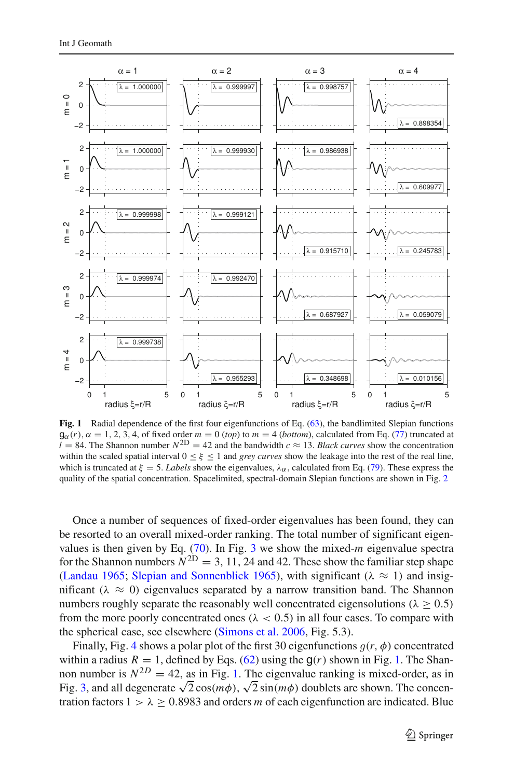

<span id="page-20-0"></span>**Fig. 1** Radial dependence of the first four eigenfunctions of Eq. [\(63\)](#page-16-1), the bandlimited Slepian functions  $g_{\alpha}(r)$ ,  $\alpha = 1, 2, 3, 4$ , of fixed order  $m = 0$  (*top*) to  $m = 4$  (*bottom*), calculated from Eq. [\(77\)](#page-18-2) truncated at  $l = 84$ . The Shannon number  $N^{2D} = 42$  and the bandwidth  $c \approx 13$ . *Black curves* show the concentration within the scaled spatial interval  $0 \le \xi \le 1$  and *grey curves* show the leakage into the rest of the real line, which is truncated at  $\xi = 5$ . *Labels* show the eigenvalues,  $\lambda_{\alpha}$ , calculated from Eq. [\(79\)](#page-19-1). These express the quality of the spatial concentration. Spacelimited, spectral-domain Slepian functions are shown in Fig. [2](#page-21-0)

Once a number of sequences of fixed-order eigenvalues has been found, they can be resorted to an overall mixed-order ranking. The total number of significant eigenvalues is then given by Eq. [\(70\)](#page-17-3). In Fig. [3](#page-22-0) we show the mixed-*m* eigenvalue spectra for the Shannon numbers  $N^{2D} = 3$ , 11, 24 and 42. These show the familiar step shape [\(Landau 1965;](#page-32-22) [Slepian and Sonnenblick 1965](#page-34-23)), with significant ( $\lambda \approx 1$ ) and insignificant ( $\lambda \approx 0$ ) eigenvalues separated by a narrow transition band. The Shannon numbers roughly separate the reasonably well concentrated eigensolutions ( $\lambda \geq 0.5$ ) from the more poorly concentrated ones ( $\lambda < 0.5$ ) in all four cases. To compare with the spherical case, see elsewhere [\(Simons et al. 2006,](#page-34-8) Fig. 5.3).

Finally, Fig. [4](#page-23-0) shows a polar plot of the first 30 eigenfunctions  $q(r, \phi)$  concentrated within a radius  $R = 1$ , defined by Eqs. [\(62\)](#page-16-0) using the  $g(r)$  shown in Fig. [1.](#page-20-0) The Shannon number is  $N^{2D} = 42$ , as in Fig. [1.](#page-20-0) The eigenvalue ranking is mixed-order, as in Fig. [3,](#page-22-0) and all degenerate  $\sqrt{2} \cos(m\phi)$ ,  $\sqrt{2} \sin(m\phi)$  doublets are shown. The concentration factors  $1 > \lambda > 0.8983$  and orders *m* of each eigenfunction are indicated. Blue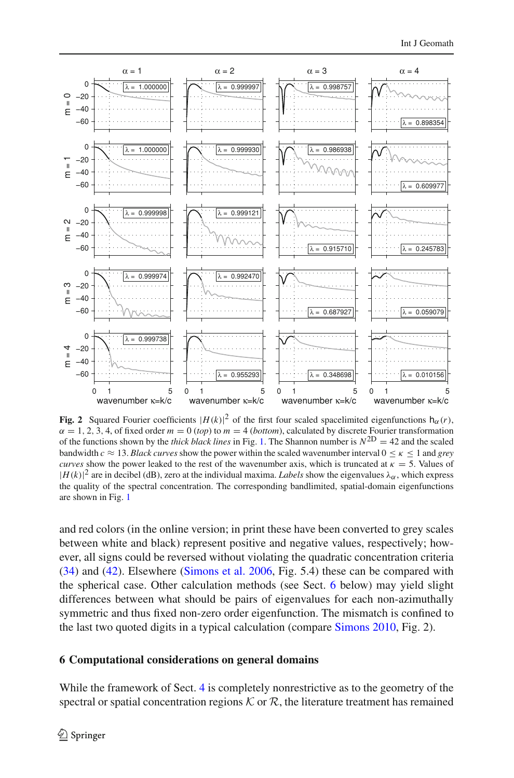

<span id="page-21-0"></span>**Fig. 2** Squared Fourier coefficients  $|H(k)|^2$  of the first four scaled spacelimited eigenfunctions  $h_\alpha(r)$ ,  $\alpha = 1, 2, 3, 4$ , of fixed order  $m = 0$  (*top*) to  $m = 4$  (*bottom*), calculated by discrete Fourier transformation of the functions shown by the *thick black lines* in Fig. [1.](#page-20-0) The Shannon number is  $N^{2D} = 42$  and the scaled bandwidth  $c \approx 13$ . *Black curves* show the power within the scaled wavenumber interval  $0 \le \kappa \le 1$  and *grey curves* show the power leaked to the rest of the wavenumber axis, which is truncated at  $\kappa = 5$ . Values of  $|H(k)|^2$  are in decibel (dB), zero at the individual maxima. *Labels* show the eigenvalues  $\lambda_{\alpha}$ , which express the quality of the spectral concentration. The corresponding bandlimited, spatial-domain eigenfunctions are shown in Fig. [1](#page-20-0)

and red colors (in the online version; in print these have been converted to grey scales between white and black) represent positive and negative values, respectively; however, all signs could be reversed without violating the quadratic concentration criteria [\(34\)](#page-10-1) and [\(42\)](#page-12-0). Elsewhere [\(Simons et al. 2006,](#page-34-8) Fig. 5.4) these can be compared with the spherical case. Other calculation methods (see Sect. [6](#page-21-1) below) may yield slight differences between what should be pairs of eigenvalues for each non-azimuthally symmetric and thus fixed non-zero order eigenfunction. The mismatch is confined to the last two quoted digits in a typical calculation (compare [Simons 2010,](#page-34-22) Fig. 2).

## <span id="page-21-1"></span>**6 Computational considerations on general domains**

While the framework of Sect. [4](#page-9-1) is completely nonrestrictive as to the geometry of the spectral or spatial concentration regions  $K$  or  $R$ , the literature treatment has remained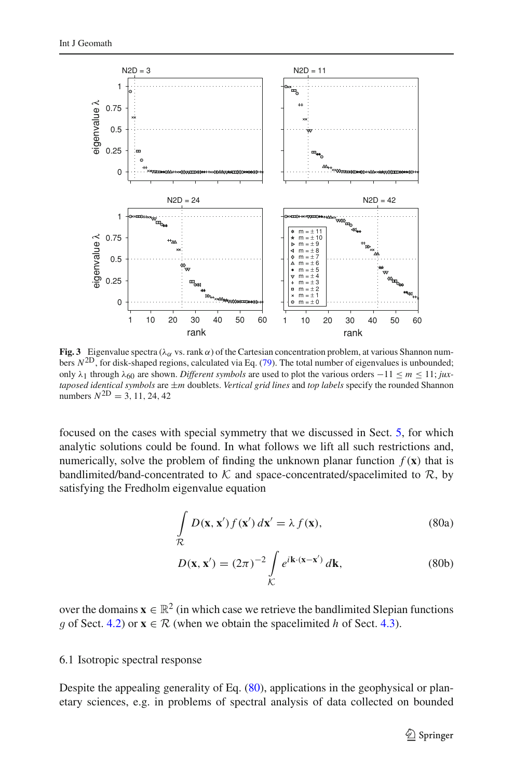

<span id="page-22-0"></span>**Fig. 3** Eigenvalue spectra ( $\lambda_{\alpha}$  vs. rank  $\alpha$ ) of the Cartesian concentration problem, at various Shannon numbers  $N^{2D}$ , for disk-shaped regions, calculated via Eq. [\(79\)](#page-19-1). The total number of eigenvalues is unbounded; only  $\lambda_1$  through  $\lambda_{60}$  are shown. *Different symbols* are used to plot the various orders  $-11 \le m \le 11$ ; *juxtaposed identical symbols* are ±*m* doublets. *Vertical grid lines* and *top labels* specify the rounded Shannon numbers  $N^{2D} = 3, 11, 24, 42$ 

focused on the cases with special symmetry that we discussed in Sect. [5,](#page-13-4) for which analytic solutions could be found. In what follows we lift all such restrictions and, numerically, solve the problem of finding the unknown planar function  $f(\mathbf{x})$  that is bandlimited/band-concentrated to  $K$  and space-concentrated/spacelimited to  $R$ , by satisfying the Fredholm eigenvalue equation

<span id="page-22-1"></span>
$$
\int_{\mathcal{P}} D(\mathbf{x}, \mathbf{x}') f(\mathbf{x}') d\mathbf{x}' = \lambda f(\mathbf{x}),
$$
\n(80a)

$$
D(\mathbf{x}, \mathbf{x}') = (2\pi)^{-2} \int_{\mathcal{K}} e^{i\mathbf{k} \cdot (\mathbf{x} - \mathbf{x}')} d\mathbf{k},
$$
 (80b)

over the domains  $\mathbf{x} \in \mathbb{R}^2$  (in which case we retrieve the bandlimited Slepian functions *g* of Sect. [4.2\)](#page-10-6) or  $\mathbf{x} \in \mathcal{R}$  (when we obtain the spacelimited *h* of Sect. [4.3\)](#page-11-6).

# 6.1 Isotropic spectral response

Despite the appealing generality of Eq. [\(80\)](#page-22-1), applications in the geophysical or planetary sciences, e.g. in problems of spectral analysis of data collected on bounded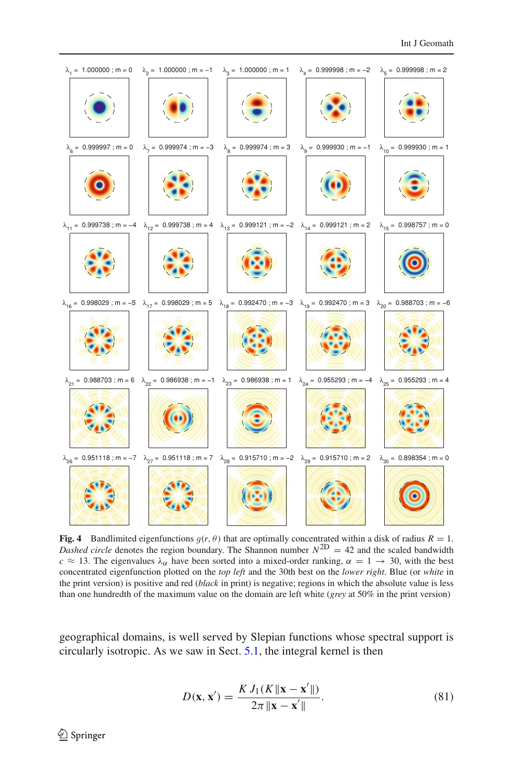

<span id="page-23-0"></span>**Fig. 4** Bandlimited eigenfunctions  $g(r, \theta)$  that are optimally concentrated within a disk of radius  $R = 1$ .<br>Dashed circle denotes the region boundary. The Shannon number  $N^{2D} = 42$  and the scaled bandwidth  $c \approx 13$ . The eigenvalues  $\lambda_{\alpha}$  have been sorted into a mixed-order ranking,  $\alpha = 1 \rightarrow 30$ , with the best concentrated eigenfunction plotted on the *top left* and the 30th best on the *lower right*. Blue (or *white* in the print version) is positive and red (*black* in print) is negative; regions in which the absolute value is less than one hundredth of the maximum value on the domain are left white (*grey* at 50% in the print version)

geographical domains, is well served by Slepian functions whose spectral support is circularly isotropic. As we saw in Sect. [5.1,](#page-13-5) the integral kernel is then

$$
D(\mathbf{x}, \mathbf{x}') = \frac{K J_1(K || \mathbf{x} - \mathbf{x}' ||)}{2\pi || \mathbf{x} - \mathbf{x}' ||}.
$$
 (81)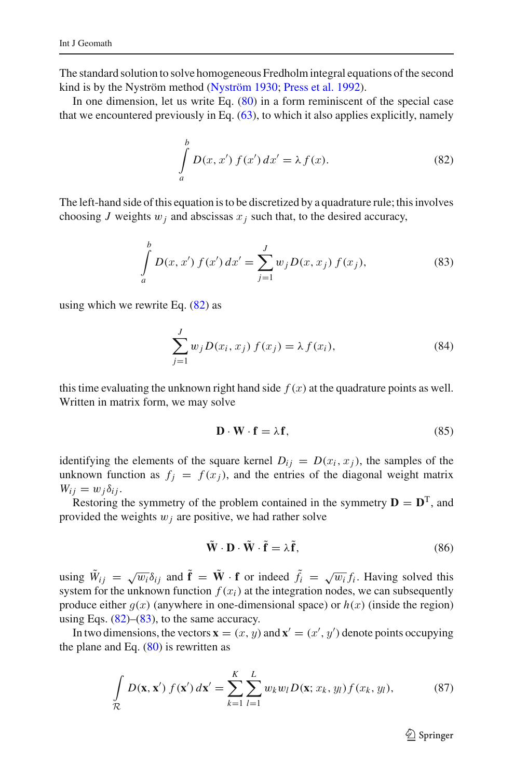The standard solution to solve homogeneous Fredholm integral equations of the second kind is by the Nyström method [\(Nyström 1930;](#page-33-20) [Press et al. 1992](#page-33-21)).

In one dimension, let us write Eq.  $(80)$  in a form reminiscent of the special case that we encountered previously in Eq.  $(63)$ , to which it also applies explicitly, namely

$$
\int_{a}^{b} D(x, x') f(x') dx' = \lambda f(x).
$$
 (82)

<span id="page-24-0"></span>The left-hand side of this equation is to be discretized by a quadrature rule; this involves choosing *J* weights  $w_j$  and abscissas  $x_j$  such that, to the desired accuracy,

$$
\int_{a}^{b} D(x, x') f(x') dx' = \sum_{j=1}^{J} w_j D(x, x_j) f(x_j),
$$
\n(83)

<span id="page-24-1"></span>using which we rewrite Eq.  $(82)$  as

$$
\sum_{j=1}^{J} w_j D(x_i, x_j) f(x_j) = \lambda f(x_i),
$$
\n(84)

this time evaluating the unknown right hand side  $f(x)$  at the quadrature points as well. Written in matrix form, we may solve

$$
\mathbf{D} \cdot \mathbf{W} \cdot \mathbf{f} = \lambda \mathbf{f},\tag{85}
$$

identifying the elements of the square kernel  $D_{ij} = D(x_i, x_j)$ , the samples of the unknown function as  $f_j = f(x_j)$ , and the entries of the diagonal weight matrix  $W_{ij} = w_j \delta_{ij}$ .

Restoring the symmetry of the problem contained in the symmetry  $D = D<sup>T</sup>$ , and provided the weights  $w_j$  are positive, we had rather solve

$$
\tilde{\mathbf{W}} \cdot \mathbf{D} \cdot \tilde{\mathbf{W}} \cdot \tilde{\mathbf{f}} = \lambda \tilde{\mathbf{f}},\tag{86}
$$

<span id="page-24-2"></span>using  $\tilde{W}_{ij} = \sqrt{w_i} \delta_{ij}$  and  $\tilde{\mathbf{f}} = \tilde{\mathbf{W}} \cdot \mathbf{f}$  or indeed  $\tilde{f}_i = \sqrt{w_i} f_i$ . Having solved this system for the unknown function  $f(x_i)$  at the integration nodes, we can subsequently produce either  $g(x)$  (anywhere in one-dimensional space) or  $h(x)$  (inside the region) using Eqs.  $(82)$ – $(83)$ , to the same accuracy.

In two dimensions, the vectors  $\mathbf{x} = (x, y)$  and  $\mathbf{x}' = (x', y')$  denote points occupying<br>the plane and Eq. (80) is rewritten as the plane and Eq.  $(80)$  is rewritten as

$$
\int_{\mathcal{R}} D(\mathbf{x}, \mathbf{x}') f(\mathbf{x}') d\mathbf{x}' = \sum_{k=1}^{K} \sum_{l=1}^{L} w_k w_l D(\mathbf{x}; x_k, y_l) f(x_k, y_l),
$$
(87)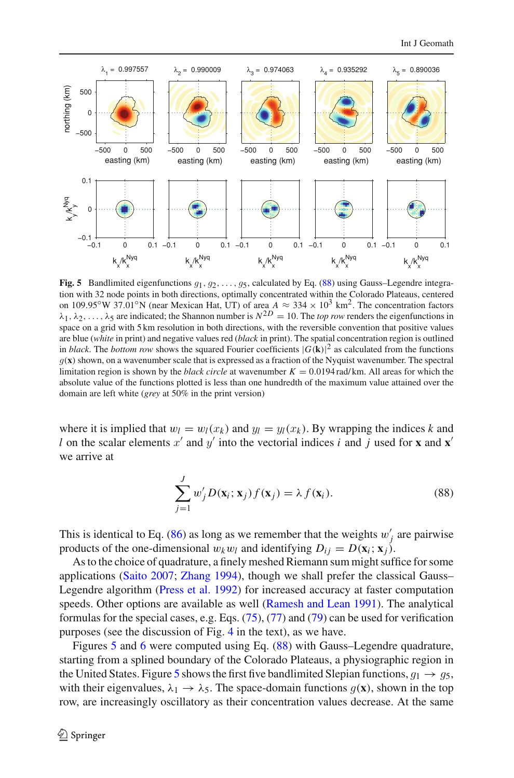

<span id="page-25-1"></span>**Fig. 5** Bandlimited eigenfunctions  $g_1, g_2, \ldots, g_5$ , calculated by Eq. [\(88\)](#page-25-0) using Gauss–Legendre integration with 32 node points in both directions, optimally concentrated within the Colorado Plateaus, centered on 109.95°W 37.01°N (near Mexican Hat, UT) of area  $A \approx 334 \times 10^3$  km<sup>2</sup>. The concentration factors  $\lambda_1, \lambda_2, \ldots, \lambda_5$  are indicated; the Shannon number is  $N^{2D} = 10$ . The *top row* renders the eigenfunctions in space on a grid with 5 km resolution in both directions, with the reversible convention that positive values are blue (*white* in print) and negative values red (*black* in print). The spatial concentration region is outlined in *black*. The *bottom row* shows the squared Fourier coefficients  $|G(\mathbf{k})|^2$  as calculated from the functions *g*(**x**) shown, on a wavenumber scale that is expressed as a fraction of the Nyquist wavenumber. The spectral limitation region is shown by the *black circle* at wavenumber *K* = 0.0194 rad/ km. All areas for which the absolute value of the functions plotted is less than one hundredth of the maximum value attained over the domain are left white (*grey* at 50% in the print version)

where it is implied that  $w_l = w_l(x_k)$  and  $y_l = y_l(x_k)$ . By wrapping the indices *k* and *l* on the scalar elements  $x'$  and  $y'$  into the vectorial indices *i* and *j* used for **x** and **x**<sup>'</sup> we arrive at

$$
\sum_{j=1}^{J} w'_j D(\mathbf{x}_i; \mathbf{x}_j) f(\mathbf{x}_j) = \lambda f(\mathbf{x}_i).
$$
 (88)

<span id="page-25-0"></span>This is identical to Eq. [\(86\)](#page-24-2) as long as we remember that the weights  $w'_j$  are pairwise products of the one-dimensional  $w_k w_l$  and identifying  $D_{ij} = D(\mathbf{x}_i; \mathbf{x}_j)$ .

As to the choice of quadrature, a finely meshed Riemann sum might suffice for some applications [\(Saito 2007;](#page-33-14) [Zhang 1994](#page-35-8)), though we shall prefer the classical Gauss– Legendre algorithm [\(Press et al. 1992](#page-33-21)) for increased accuracy at faster computation speeds. Other options are available as well [\(Ramesh and Lean 1991](#page-33-23)). The analytical formulas for the special cases, e.g. Eqs.  $(75)$ ,  $(77)$  and  $(79)$  can be used for verification purposes (see the discussion of Fig. [4](#page-23-0) in the text), as we have.

Figures [5](#page-25-1) and [6](#page-26-0) were computed using Eq. [\(88\)](#page-25-0) with Gauss–Legendre quadrature, starting from a splined boundary of the Colorado Plateaus, a physiographic region in the United States. Figure [5](#page-25-1) shows the first five bandlimited Slepian functions,  $q_1 \rightarrow q_5$ , with their eigenvalues,  $\lambda_1 \rightarrow \lambda_5$ . The space-domain functions  $q(\mathbf{x})$ , shown in the top row, are increasingly oscillatory as their concentration values decrease. At the same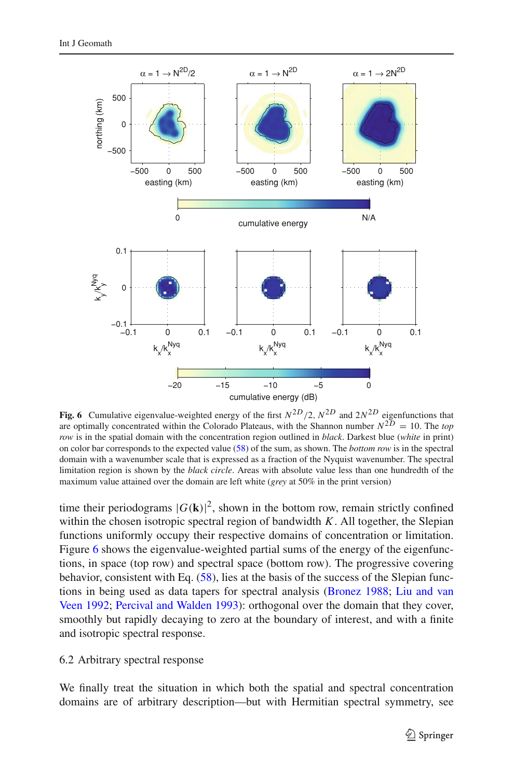

<span id="page-26-0"></span>**Fig. 6** Cumulative eigenvalue-weighted energy of the first  $N^{2D}/2$ ,  $N^{2D}$  and  $2N^{2D}$  eigenfunctions that are optimally concentrated within the Colorado Plateaus, with the Shannon number  $N^{2D} = 10$ . The *top row* is in the spatial domain with the concentration region outlined in *black*. Darkest blue (*white* in print) on color bar corresponds to the expected value [\(58\)](#page-15-2) of the sum, as shown. The *bottom row* is in the spectral domain with a wavenumber scale that is expressed as a fraction of the Nyquist wavenumber. The spectral limitation region is shown by the *black circle*. Areas with absolute value less than one hundredth of the maximum value attained over the domain are left white (*grey* at 50% in the print version)

time their periodograms  $|G(\mathbf{k})|^2$ , shown in the bottom row, remain strictly confined within the chosen isotropic spectral region of bandwidth *K*. All together, the Slepian functions uniformly occupy their respective domains of concentration or limitation. Figure [6](#page-26-0) shows the eigenvalue-weighted partial sums of the energy of the eigenfunctions, in space (top row) and spectral space (bottom row). The progressive covering behavior, consistent with Eq. [\(58\)](#page-15-2), lies at the basis of the success of the Slepian functions [in](#page-33-17) [being](#page-33-17) [used](#page-33-17) [as](#page-33-17) [data](#page-33-17) [tapers](#page-33-17) [for](#page-33-17) [spectral](#page-33-17) [analysis](#page-33-17) [\(Bronez 1988](#page-31-21)[;](#page-33-17) Liu and van Veen [1992](#page-33-17); [Percival and Walden 1993\)](#page-33-0): orthogonal over the domain that they cover, smoothly but rapidly decaying to zero at the boundary of interest, and with a finite and isotropic spectral response.

# 6.2 Arbitrary spectral response

We finally treat the situation in which both the spatial and spectral concentration domains are of arbitrary description—but with Hermitian spectral symmetry, see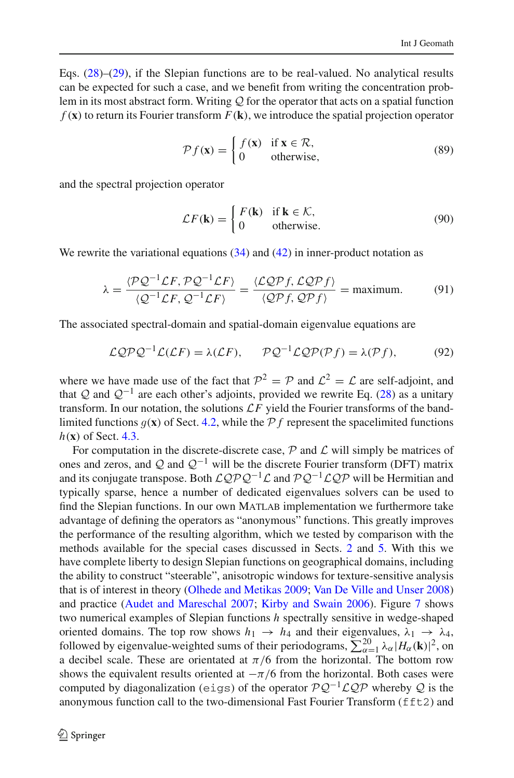Eqs. [\(28\)](#page-9-2)–[\(29\)](#page-9-0), if the Slepian functions are to be real-valued. No analytical results can be expected for such a case, and we benefit from writing the concentration problem in its most abstract form. Writing *Q* for the operator that acts on a spatial function  $f(\mathbf{x})$  to return its Fourier transform  $F(\mathbf{k})$ , we introduce the spatial projection operator

$$
\mathcal{P}f(\mathbf{x}) = \begin{cases} f(\mathbf{x}) & \text{if } \mathbf{x} \in \mathcal{R}, \\ 0 & \text{otherwise,} \end{cases}
$$
(89)

<span id="page-27-2"></span>and the spectral projection operator

$$
\mathcal{L}F(\mathbf{k}) = \begin{cases} F(\mathbf{k}) & \text{if } \mathbf{k} \in \mathcal{K}, \\ 0 & \text{otherwise.} \end{cases}
$$
 (90)

<span id="page-27-1"></span>We rewrite the variational equations  $(34)$  and  $(42)$  in inner-product notation as

$$
\lambda = \frac{\langle \mathcal{P} \mathcal{Q}^{-1} \mathcal{L} F, \mathcal{P} \mathcal{Q}^{-1} \mathcal{L} F \rangle}{\langle \mathcal{Q}^{-1} \mathcal{L} F, \mathcal{Q}^{-1} \mathcal{L} F \rangle} = \frac{\langle \mathcal{L} \mathcal{Q} \mathcal{P} f, \mathcal{L} \mathcal{Q} \mathcal{P} f \rangle}{\langle \mathcal{Q} \mathcal{P} f, \mathcal{Q} \mathcal{P} f \rangle} = \text{maximum.}
$$
(91)

<span id="page-27-0"></span>The associated spectral-domain and spatial-domain eigenvalue equations are

$$
\mathcal{LQPQ}^{-1}\mathcal{L}(\mathcal{L}F) = \lambda(\mathcal{L}F), \qquad \mathcal{PQ}^{-1}\mathcal{LQP}(\mathcal{P}f) = \lambda(\mathcal{P}f), \tag{92}
$$

where we have made use of the fact that  $\mathcal{P}^2 = \mathcal{P}$  and  $\mathcal{L}^2 = \mathcal{L}$  are self-adjoint, and that  $Q$  and  $Q^{-1}$  are each other's adjoints, provided we rewrite Eq. [\(28\)](#page-9-2) as a unitary transform. In our notation, the solutions  $\mathcal{L}F$  yield the Fourier transforms of the bandlimited functions  $q(\mathbf{x})$  of Sect. [4.2,](#page-10-6) while the  $\mathcal{P}$  *f* represent the spacelimited functions *h*(**x**) of Sect. [4.3.](#page-11-6)

For computation in the discrete-discrete case,  $P$  and  $\mathcal L$  will simply be matrices of ones and zeros, and *<sup>Q</sup>* and *<sup>Q</sup>*−<sup>1</sup> will be the discrete Fourier transform (DFT) matrix and its conjugate transpose. Both *LQPQ*−1*<sup>L</sup>* and *PQ*−1*LQP* will be Hermitian and typically sparse, hence a number of dedicated eigenvalues solvers can be used to find the Slepian functions. In our own Matlab implementation we furthermore take advantage of defining the operators as "anonymous" functions. This greatly improves the performance of the resulting algorithm, which we tested by comparison with the methods available for the special cases discussed in Sects. [2](#page-3-1) and [5.](#page-13-4) With this we have complete liberty to design Slepian functions on geographical domains, including the ability to construct "steerable", anisotropic windows for texture-sensitive analysis that is of interest in theory [\(Olhede and Metikas 2009](#page-33-24); [Van De Ville and Unser 2008\)](#page-34-25) and practice [\(Audet and Mareschal 2007](#page-30-10); [Kirby and Swain 2006](#page-32-24)). Figure [7](#page-28-0) shows two numerical examples of Slepian functions *h* spectrally sensitive in wedge-shaped oriented domains. The top row shows  $h_1 \rightarrow h_4$  and their eigenvalues,  $\lambda_1 \rightarrow \lambda_4$ , followed by eigenvalue-weighted sums of their periodograms,  $\sum_{\alpha=1}^{20} \lambda_{\alpha} |H_{\alpha}(\mathbf{k})|^2$ , on a decibel scale. These are orientated at  $\pi/6$  from the horizontal. The bottom row shows the equivalent results oriented at  $-\pi/6$  from the horizontal. Both cases were computed by diagonalization (eigs) of the operator *PQ*−1*LQP* whereby *<sup>Q</sup>* is the anonymous function call to the two-dimensional Fast Fourier Transform (fft2) and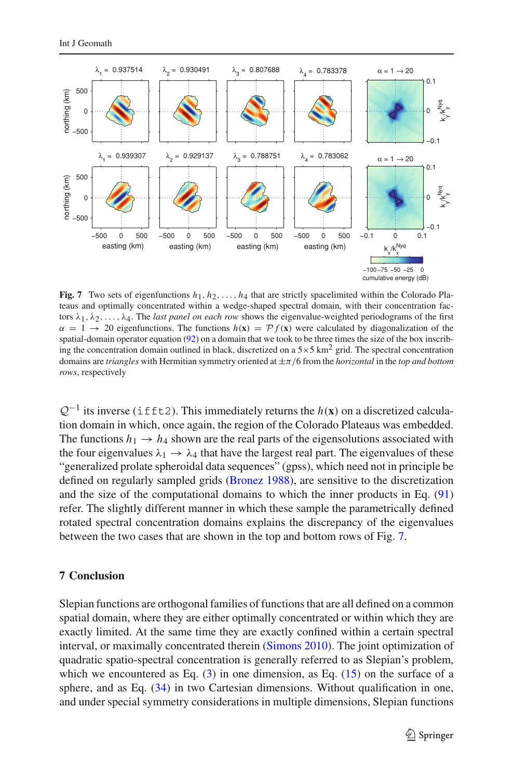

<span id="page-28-0"></span>**Fig. 7** Two sets of eigenfunctions  $h_1, h_2, \ldots, h_4$  that are strictly spacelimited within the Colorado Plateaus and optimally concentrated within a wedge-shaped spectral domain, with their concentration factors  $\lambda_1, \lambda_2, \ldots, \lambda_4$ . The *last panel on each row* shows the eigenvalue-weighted periodograms of the first  $\alpha = 1 \rightarrow 20$  eigenfunctions. The functions  $h(\mathbf{x}) = \mathcal{P}f(\mathbf{x})$  were calculated by diagonalization of the spatial-domain operator equation [\(92\)](#page-27-0) on a domain that we took to be three times the size of the box inscribing the concentration domain outlined in black, discretized on a  $5 \times 5$  km<sup>2</sup> grid. The spectral concentration domains are *triangles* with Hermitian symmetry oriented at ±π/6 from the *horizontal* in the *top and bottom rows*, respectively

 $Q^{-1}$  its inverse (ifft2). This immediately returns the *h*(**x**) on a discretized calculation domain in which, once again, the region of the Colorado Plateaus was embedded. The functions  $h_1 \rightarrow h_4$  shown are the real parts of the eigensolutions associated with the four eigenvalues  $\lambda_1 \rightarrow \lambda_4$  that have the largest real part. The eigenvalues of these "generalized prolate spheroidal data sequences" (gpss), which need not in principle be defined on regularly sampled grids [\(Bronez 1988\)](#page-31-21), are sensitive to the discretization and the size of the computational domains to which the inner products in Eq. [\(91\)](#page-27-1) refer. The slightly different manner in which these sample the parametrically defined rotated spectral concentration domains explains the discrepancy of the eigenvalues between the two cases that are shown in the top and bottom rows of Fig. [7.](#page-28-0)

# **7 Conclusion**

Slepian functions are orthogonal families of functions that are all defined on a common spatial domain, where they are either optimally concentrated or within which they are exactly limited. At the same time they are exactly confined within a certain spectral interval, or maximally concentrated therein [\(Simons 2010](#page-34-22)). The joint optimization of quadratic spatio-spectral concentration is generally referred to as Slepian's problem, which we encountered as Eq.  $(3)$  in one dimension, as Eq.  $(15)$  on the surface of a sphere, and as Eq. [\(34\)](#page-10-1) in two Cartesian dimensions. Without qualification in one, and under special symmetry considerations in multiple dimensions, Slepian functions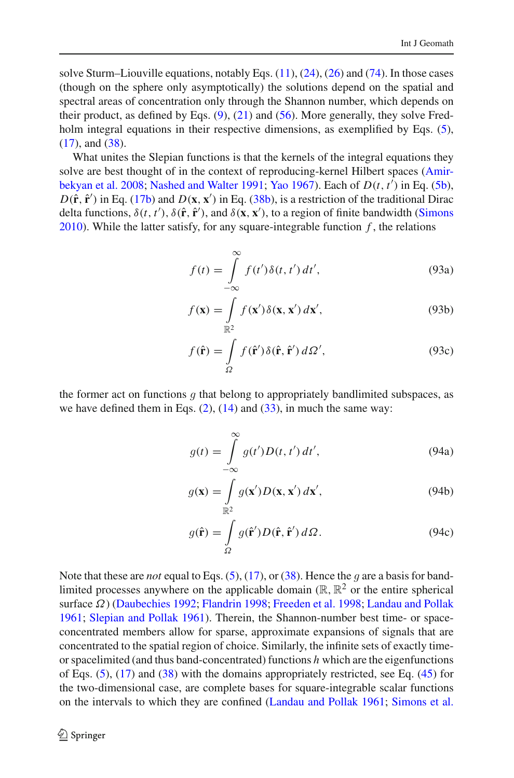solve Sturm–Liouville equations, notably Eqs. [\(11\)](#page-5-0), [\(24\)](#page-8-2), [\(26\)](#page-8-3) and [\(74\)](#page-18-0). In those cases (though on the sphere only asymptotically) the solutions depend on the spatial and spectral areas of concentration only through the Shannon number, which depends on their product, as defined by Eqs. [\(9\)](#page-4-4), [\(21\)](#page-7-2) and [\(56\)](#page-14-2). More generally, they solve Fredholm integral equations in their respective dimensions, as exemplified by Eqs. [\(5\)](#page-4-0), [\(17\)](#page-6-1), and [\(38\)](#page-11-2).

What unites the Slepian functions is that the kernels of the integral equations they solve are be[st](#page-30-6) [thought](#page-30-6) [of](#page-30-6) [in](#page-30-6) [the](#page-30-6) [context](#page-30-6) [of](#page-30-6) [reproducing-kernel](#page-30-6) [Hilbert](#page-30-6) [spaces](#page-30-6) [\(](#page-30-6)Amirbekyan et al. [2008](#page-30-6); [Nashed and Walter 1991;](#page-33-25) [Yao 1967\)](#page-35-12). Each of *D*(*t*, *t* ) in Eq. [\(5b\)](#page-4-5),  $D(\hat{\mathbf{r}}, \hat{\mathbf{r}}')$  in Eq. [\(17b\)](#page-6-6) and  $D(\mathbf{x}, \mathbf{x}')$  in Eq. [\(38b\)](#page-11-1), is a restriction of the traditional Dirac delta functions,  $\delta(t, t')$ ,  $\delta(\hat{\mathbf{r}}, \hat{\mathbf{r}}')$ , and  $\delta(\mathbf{x}, \mathbf{x}')$ , to a region of finite bandwidth [\(Simons](#page-34-22) [2010\)](#page-34-22). While the latter satisfy, for any square-integrable function *f* , the relations

$$
f(t) = \int_{-\infty}^{\infty} f(t') \delta(t, t') dt',
$$
\n(93a)

$$
f(\mathbf{x}) = \int_{\mathbb{R}^2} f(\mathbf{x}') \delta(\mathbf{x}, \mathbf{x}') d\mathbf{x}',\tag{93b}
$$

$$
f(\hat{\mathbf{r}}) = \int_{\Omega} f(\hat{\mathbf{r}}') \delta(\hat{\mathbf{r}}, \hat{\mathbf{r}}') d\Omega',
$$
 (93c)

the former act on functions *g* that belong to appropriately bandlimited subspaces, as we have defined them in Eqs.  $(2)$ ,  $(14)$  and  $(33)$ , in much the same way:

$$
g(t) = \int_{-\infty}^{\infty} g(t') D(t, t') dt',
$$
\n(94a)

$$
g(\mathbf{x}) = \int_{\mathbb{R}^2} g(\mathbf{x}') D(\mathbf{x}, \mathbf{x}') d\mathbf{x}',\tag{94b}
$$

$$
g(\hat{\mathbf{r}}) = \int_{\Omega} g(\hat{\mathbf{r}}') D(\hat{\mathbf{r}}, \hat{\mathbf{r}}') d\Omega.
$$
 (94c)

Note that these are *not* equal to Eqs. [\(5\)](#page-4-0), [\(17\)](#page-6-1), or [\(38\)](#page-11-2). Hence the *g* are a basis for bandlimited processes anywhere on the applicable domain  $(\mathbb{R}, \mathbb{R}^2)$  or the entire spherical surface Ω) [\(Daubechies 1992;](#page-31-2) [Flandrin 1998;](#page-31-6) [Freeden et al. 1998](#page-31-27); [Landau and Pollak](#page-32-0) [1961;](#page-32-0) [Slepian and Pollak 1961](#page-34-0)). Therein, the Shannon-number best time- or spaceconcentrated members allow for sparse, approximate expansions of signals that are concentrated to the spatial region of choice. Similarly, the infinite sets of exactly timeor spacelimited (and thus band-concentrated) functions *h* which are the eigenfunctions of Eqs.  $(5)$ ,  $(17)$  and  $(38)$  with the domains appropriately restricted, see Eq.  $(45)$  for the two-dimensional case, are complete bases for square-integrable scalar functions on the intervals to which they are confined [\(Landau and Pollak 1961](#page-32-0); [Simons et al.](#page-34-8)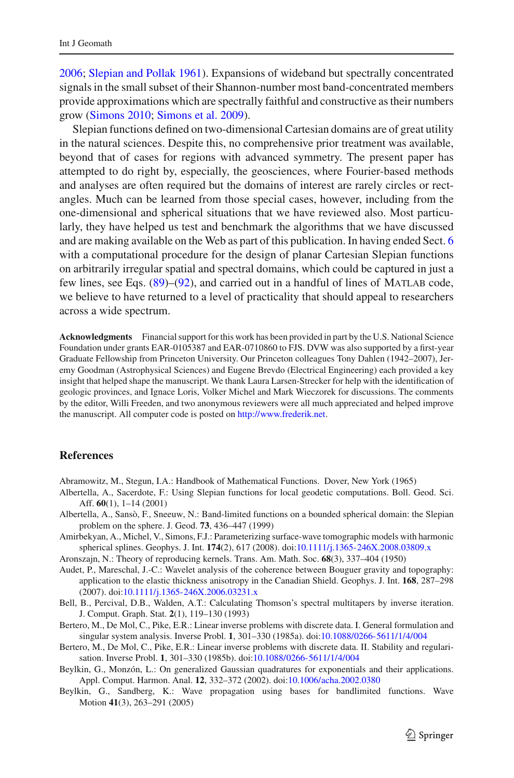[2006;](#page-34-8) [Slepian and Pollak 1961\)](#page-34-0). Expansions of wideband but spectrally concentrated signals in the small subset of their Shannon-number most band-concentrated members provide approximations which are spectrally faithful and constructive as their numbers grow [\(Simons 2010](#page-34-22); [Simons et al. 2009\)](#page-34-10).

Slepian functions defined on two-dimensional Cartesian domains are of great utility in the natural sciences. Despite this, no comprehensive prior treatment was available, beyond that of cases for regions with advanced symmetry. The present paper has attempted to do right by, especially, the geosciences, where Fourier-based methods and analyses are often required but the domains of interest are rarely circles or rectangles. Much can be learned from those special cases, however, including from the one-dimensional and spherical situations that we have reviewed also. Most particularly, they have helped us test and benchmark the algorithms that we have discussed and are making available on the Web as part of this publication. In having ended Sect. [6](#page-21-1) with a computational procedure for the design of planar Cartesian Slepian functions on arbitrarily irregular spatial and spectral domains, which could be captured in just a few lines, see Eqs. [\(89\)](#page-27-2)–[\(92\)](#page-27-0), and carried out in a handful of lines of Matlab code, we believe to have returned to a level of practicality that should appeal to researchers across a wide spectrum.

**Acknowledgments** Financial support for this work has been provided in part by the U.S. National Science Foundation under grants EAR-0105387 and EAR-0710860 to FJS. DVW was also supported by a first-year Graduate Fellowship from Princeton University. Our Princeton colleagues Tony Dahlen (1942–2007), Jeremy Goodman (Astrophysical Sciences) and Eugene Brevdo (Electrical Engineering) each provided a key insight that helped shape the manuscript. We thank Laura Larsen-Strecker for help with the identification of geologic provinces, and Ignace Loris, Volker Michel and Mark Wieczorek for discussions. The comments by the editor, Willi Freeden, and two anonymous reviewers were all much appreciated and helped improve the manuscript. All computer code is posted on [http://www.frederik.net.](http://www.frederik.net)

#### **References**

Abramowitz, M., Stegun, I.A.: Handbook of Mathematical Functions. Dover, New York (1965)

- <span id="page-30-9"></span><span id="page-30-5"></span>Albertella, A., Sacerdote, F.: Using Slepian functions for local geodetic computations. Boll. Geod. Sci. Aff. **60**(1), 1–14 (2001)
- <span id="page-30-4"></span>Albertella, A., Sansò, F., Sneeuw, N.: Band-limited functions on a bounded spherical domain: the Slepian problem on the sphere. J. Geod. **73**, 436–447 (1999)
- <span id="page-30-6"></span>Amirbekyan, A., Michel, V., Simons, F.J.: Parameterizing surface-wave tomographic models with harmonic spherical splines. Geophys. J. Int. **174**(2), 617 (2008). doi[:10.1111/j.1365-246X.2008.03809.x](http://dx.doi.org/10.1111/j.1365-246X.2008.03809.x)
- <span id="page-30-8"></span>Aronszajn, N.: Theory of reproducing kernels. Trans. Am. Math. Soc. **68**(3), 337–404 (1950)
- <span id="page-30-10"></span>Audet, P., Mareschal, J.-C.: Wavelet analysis of the coherence between Bouguer gravity and topography: application to the elastic thickness anisotropy in the Canadian Shield. Geophys. J. Int. **168**, 287–298 (2007). doi[:10.1111/j.1365-246X.2006.03231.x](http://dx.doi.org/10.1111/j.1365-246X.2006.03231.x)
- <span id="page-30-7"></span>Bell, B., Percival, D.B., Walden, A.T.: Calculating Thomson's spectral multitapers by inverse iteration. J. Comput. Graph. Stat. **2**(1), 119–130 (1993)
- <span id="page-30-0"></span>Bertero, M., De Mol, C., Pike, E.R.: Linear inverse problems with discrete data. I. General formulation and singular system analysis. Inverse Probl. **1**, 301–330 (1985a). doi[:10.1088/0266-5611/1/4/004](http://dx.doi.org/10.1088/0266-5611/1/4/004)
- <span id="page-30-1"></span>Bertero, M., De Mol, C., Pike, E.R.: Linear inverse problems with discrete data. II. Stability and regularisation. Inverse Probl. **1**, 301–330 (1985b). doi[:10.1088/0266-5611/1/4/004](http://dx.doi.org/10.1088/0266-5611/1/4/004)
- <span id="page-30-2"></span>Beylkin, G., Monzón, L.: On generalized Gaussian quadratures for exponentials and their applications. Appl. Comput. Harmon. Anal. **12**, 332–372 (2002). doi[:10.1006/acha.2002.0380](http://dx.doi.org/10.1006/acha.2002.0380)
- <span id="page-30-3"></span>Beylkin, G., Sandberg, K.: Wave propagation using bases for bandlimited functions. Wave Motion **41**(3), 263–291 (2005)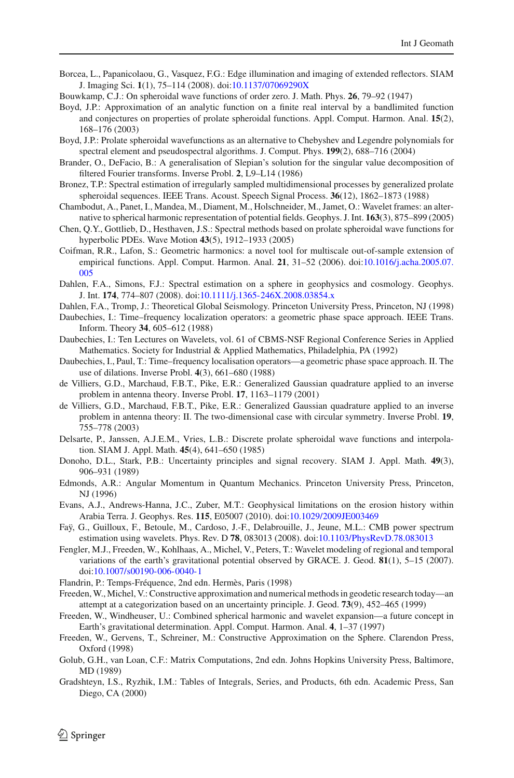<span id="page-31-20"></span>Borcea, L., Papanicolaou, G., Vasquez, F.G.: Edge illumination and imaging of extended reflectors. SIAM J. Imaging Sci. **1**(1), 75–114 (2008). doi[:10.1137/07069290X](http://dx.doi.org/10.1137/07069290X)

<span id="page-31-26"></span>Bouwkamp, C.J.: On spheroidal wave functions of order zero. J. Math. Phys. **26**, 79–92 (1947)

- <span id="page-31-3"></span>Boyd, J.P.: Approximation of an analytic function on a finite real interval by a bandlimited function and conjectures on properties of prolate spheroidal functions. Appl. Comput. Harmon. Anal. **15**(2), 168–176 (2003)
- <span id="page-31-4"></span>Boyd, J.P.: Prolate spheroidal wavefunctions as an alternative to Chebyshev and Legendre polynomials for spectral element and pseudospectral algorithms. J. Comput. Phys. **199**(2), 688–716 (2004)
- <span id="page-31-17"></span>Brander, O., DeFacio, B.: A generalisation of Slepian's solution for the singular value decomposition of filtered Fourier transforms. Inverse Probl. **2**, L9–L14 (1986)
- <span id="page-31-21"></span>Bronez, T.P.: Spectral estimation of irregularly sampled multidimensional processes by generalized prolate spheroidal sequences. IEEE Trans. Acoust. Speech Signal Process. **36**(12), 1862–1873 (1988)
- <span id="page-31-11"></span>Chambodut, A., Panet, I., Mandea, M., Diament, M., Holschneider, M., Jamet, O.: Wavelet frames: an alternative to spherical harmonic representation of potential fields. Geophys. J. Int. **163**(3), 875–899 (2005)
- <span id="page-31-5"></span>Chen, Q.Y., Gottlieb, D., Hesthaven, J.S.: Spectral methods based on prolate spheroidal wave functions for hyperbolic PDEs. Wave Motion **43**(5), 1912–1933 (2005)
- <span id="page-31-19"></span>Coifman, R.R., Lafon, S.: Geometric harmonics: a novel tool for multiscale out-of-sample extension of empirical functions. Appl. Comput. Harmon. Anal. **21**, 31–52 (2006). doi[:10.1016/j.acha.2005.07.](http://dx.doi.org/10.1016/j.acha.2005.07.005) [005](http://dx.doi.org/10.1016/j.acha.2005.07.005)
- <span id="page-31-10"></span>Dahlen, F.A., Simons, F.J.: Spectral estimation on a sphere in geophysics and cosmology. Geophys. J. Int. **174**, 774–807 (2008). doi[:10.1111/j.1365-246X.2008.03854.x](http://dx.doi.org/10.1111/j.1365-246X.2008.03854.x)
- <span id="page-31-23"></span>Dahlen, F.A., Tromp, J.: Theoretical Global Seismology. Princeton University Press, Princeton, NJ (1998)
- <span id="page-31-7"></span>Daubechies, I.: Time–frequency localization operators: a geometric phase space approach. IEEE Trans. Inform. Theory **34**, 605–612 (1988)
- <span id="page-31-2"></span>Daubechies, I.: Ten Lectures on Wavelets, vol. 61 of CBMS-NSF Regional Conference Series in Applied Mathematics. Society for Industrial & Applied Mathematics, Philadelphia, PA (1992)
- <span id="page-31-8"></span>Daubechies, I., Paul, T.: Time–frequency localisation operators—a geometric phase space approach. II. The use of dilations. Inverse Probl. **4**(3), 661–680 (1988)
- <span id="page-31-1"></span>de Villiers, G.D., Marchaud, F.B.T., Pike, E.R.: Generalized Gaussian quadrature applied to an inverse problem in antenna theory. Inverse Probl. **17**, 1163–1179 (2001)
- <span id="page-31-18"></span>de Villiers, G.D., Marchaud, F.B.T., Pike, E.R.: Generalized Gaussian quadrature applied to an inverse problem in antenna theory: II. The two-dimensional case with circular symmetry. Inverse Probl. **19**, 755–778 (2003)
- <span id="page-31-0"></span>Delsarte, P., Janssen, A.J.E.M., Vries, L.B.: Discrete prolate spheroidal wave functions and interpolation. SIAM J. Appl. Math. **45**(4), 641–650 (1985)
- <span id="page-31-16"></span>Donoho, D.L., Stark, P.B.: Uncertainty principles and signal recovery. SIAM J. Appl. Math. **49**(3), 906–931 (1989)
- <span id="page-31-24"></span>Edmonds, A.R.: Angular Momentum in Quantum Mechanics. Princeton University Press, Princeton, NJ (1996)
- <span id="page-31-9"></span>Evans, A.J., Andrews-Hanna, J.C., Zuber, M.T.: Geophysical limitations on the erosion history within Arabia Terra. J. Geophys. Res. **115**, E05007 (2010). doi[:10.1029/2009JE003469](http://dx.doi.org/10.1029/2009JE003469)
- <span id="page-31-12"></span>Faÿ, G., Guilloux, F., Betoule, M., Cardoso, J.-F., Delabrouille, J., Jeune, M.L.: CMB power spectrum estimation using wavelets. Phys. Rev. D **78**, 083013 (2008). doi[:10.1103/PhysRevD.78.083013](http://dx.doi.org/10.1103/PhysRevD.78.083013)
- <span id="page-31-13"></span>Fengler, M.J., Freeden, W., Kohlhaas, A., Michel, V., Peters, T.: Wavelet modeling of regional and temporal variations of the earth's gravitational potential observed by GRACE. J. Geod. **81**(1), 5–15 (2007). doi[:10.1007/s00190-006-0040-1](http://dx.doi.org/10.1007/s00190-006-0040-1)
- <span id="page-31-6"></span>Flandrin, P.: Temps-Fréquence, 2nd edn. Hermès, Paris (1998)
- <span id="page-31-15"></span>Freeden, W., Michel, V.: Constructive approximation and numerical methods in geodetic research today—an attempt at a categorization based on an uncertainty principle. J. Geod. **73**(9), 452–465 (1999)
- <span id="page-31-14"></span>Freeden, W., Windheuser, U.: Combined spherical harmonic and wavelet expansion—a future concept in Earth's gravitational determination. Appl. Comput. Harmon. Anal. **4**, 1–37 (1997)
- <span id="page-31-27"></span>Freeden, W., Gervens, T., Schreiner, M.: Constructive Approximation on the Sphere. Clarendon Press, Oxford (1998)
- <span id="page-31-22"></span>Golub, G.H., van Loan, C.F.: Matrix Computations, 2nd edn. Johns Hopkins University Press, Baltimore, MD (1989)
- <span id="page-31-25"></span>Gradshteyn, I.S., Ryzhik, I.M.: Tables of Integrals, Series, and Products, 6th edn. Academic Press, San Diego, CA (2000)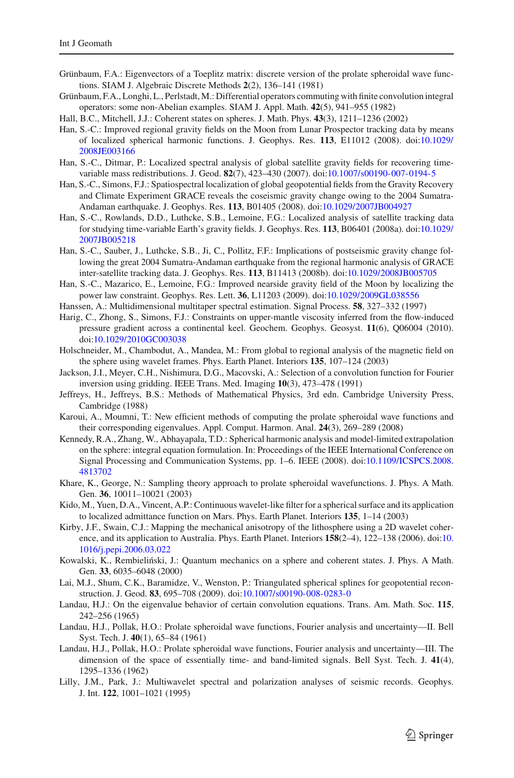- <span id="page-32-2"></span>Grünbaum, F.A.: Eigenvectors of a Toeplitz matrix: discrete version of the prolate spheroidal wave functions. SIAM J. Algebraic Discrete Methods **2**(2), 136–141 (1981)
- <span id="page-32-21"></span>Grünbaum, F.A., Longhi, L., Perlstadt, M.: Differential operators commuting with finite convolution integral operators: some non-Abelian examples. SIAM J. Appl. Math. **42**(5), 941–955 (1982)
- <span id="page-32-16"></span>Hall, B.C., Mitchell, J.J.: Coherent states on spheres. J. Math. Phys. **43**(3), 1211–1236 (2002)
- <span id="page-32-11"></span>Han, S.-C.: Improved regional gravity fields on the Moon from Lunar Prospector tracking data by means of localized spherical harmonic functions. J. Geophys. Res. **113**, E11012 (2008). doi[:10.1029/](http://dx.doi.org/10.1029/2008JE003166) [2008JE003166](http://dx.doi.org/10.1029/2008JE003166)
- <span id="page-32-7"></span>Han, S.-C., Ditmar, P.: Localized spectral analysis of global satellite gravity fields for recovering timevariable mass redistributions. J. Geod. **82**(7), 423–430 (2007). doi[:10.1007/s00190-007-0194-5](http://dx.doi.org/10.1007/s00190-007-0194-5)
- <span id="page-32-9"></span>Han, S.-C., Simons, F.J.: Spatiospectral localization of global geopotential fields from the Gravity Recovery and Climate Experiment GRACE reveals the coseismic gravity change owing to the 2004 Sumatra-Andaman earthquake. J. Geophys. Res. **113**, B01405 (2008). doi[:10.1029/2007JB004927](http://dx.doi.org/10.1029/2007JB004927)
- <span id="page-32-6"></span>Han, S.-C., Rowlands, D.D., Luthcke, S.B., Lemoine, F.G.: Localized analysis of satellite tracking data for studying time-variable Earth's gravity fields. J. Geophys. Res. **113**, B06401 (2008a). doi[:10.1029/](http://dx.doi.org/10.1029/2007JB005218) [2007JB005218](http://dx.doi.org/10.1029/2007JB005218)
- <span id="page-32-8"></span>Han, S.-C., Sauber, J., Luthcke, S.B., Ji, C., Pollitz, F.F.: Implications of postseismic gravity change following the great 2004 Sumatra-Andaman earthquake from the regional harmonic analysis of GRACE inter-satellite tracking data. J. Geophys. Res. **113**, B11413 (2008b). doi[:10.1029/2008JB005705](http://dx.doi.org/10.1029/2008JB005705)
- <span id="page-32-12"></span>Han, S.-C., Mazarico, E., Lemoine, F.G.: Improved nearside gravity field of the Moon by localizing the power law constraint. Geophys. Res. Lett. **36**, L11203 (2009). doi[:10.1029/2009GL038556](http://dx.doi.org/10.1029/2009GL038556)
- <span id="page-32-18"></span>Hanssen, A.: Multidimensional multitaper spectral estimation. Signal Process. **58**, 327–332 (1997)
- <span id="page-32-10"></span>Harig, C., Zhong, S., Simons, F.J.: Constraints on upper-mantle viscosity inferred from the flow-induced pressure gradient across a continental keel. Geochem. Geophys. Geosyst. **11**(6), Q06004 (2010). doi[:10.1029/2010GC003038](http://dx.doi.org/10.1029/2010GC003038)
- <span id="page-32-13"></span>Holschneider, M., Chambodut, A., Mandea, M.: From global to regional analysis of the magnetic field on the sphere using wavelet frames. Phys. Earth Planet. Interiors **135**, 107–124 (2003)
- <span id="page-32-19"></span>Jackson, J.I., Meyer, C.H., Nishimura, D.G., Macovski, A.: Selection of a convolution function for Fourier inversion using gridding. IEEE Trans. Med. Imaging **10**(3), 473–478 (1991)
- <span id="page-32-23"></span>Jeffreys, H., Jeffreys, B.S.: Methods of Mathematical Physics, 3rd edn. Cambridge University Press, Cambridge (1988)
- <span id="page-32-3"></span>Karoui, A., Moumni, T.: New efficient methods of computing the prolate spheroidal wave functions and their corresponding eigenvalues. Appl. Comput. Harmon. Anal. **24**(3), 269–289 (2008)
- <span id="page-32-20"></span>Kennedy, R.A., Zhang, W., Abhayapala, T.D.: Spherical harmonic analysis and model-limited extrapolation on the sphere: integral equation formulation. In: Proceedings of the IEEE International Conference on Signal Processing and Communication Systems, pp. 1–6. IEEE (2008). doi[:10.1109/ICSPCS.2008.](http://dx.doi.org/10.1109/ICSPCS.2008.4813702) [4813702](http://dx.doi.org/10.1109/ICSPCS.2008.4813702)
- <span id="page-32-4"></span>Khare, K., George, N.: Sampling theory approach to prolate spheroidal wavefunctions. J. Phys. A Math. Gen. **36**, 10011–10021 (2003)
- <span id="page-32-14"></span>Kido, M., Yuen, D.A., Vincent, A.P.: Continuous wavelet-like filter for a spherical surface and its application to localized admittance function on Mars. Phys. Earth Planet. Interiors **135**, 1–14 (2003)
- <span id="page-32-24"></span>Kirby, J.F., Swain, C.J.: Mapping the mechanical anisotropy of the lithosphere using a 2D wavelet coherence, and its application to Australia. Phys. Earth Planet. Interiors **158**(2–4), 122–138 (2006). doi[:10.](http://dx.doi.org/10.1016/j.pepi.2006.03.022) [1016/j.pepi.2006.03.022](http://dx.doi.org/10.1016/j.pepi.2006.03.022)
- <span id="page-32-17"></span>Kowalski, K., Rembieliński, J.: Quantum mechanics on a sphere and coherent states. J. Phys. A Math. Gen. **33**, 6035–6048 (2000)
- <span id="page-32-15"></span>Lai, M.J., Shum, C.K., Baramidze, V., Wenston, P.: Triangulated spherical splines for geopotential reconstruction. J. Geod. **83**, 695–708 (2009). doi[:10.1007/s00190-008-0283-0](http://dx.doi.org/10.1007/s00190-008-0283-0)
- <span id="page-32-22"></span>Landau, H.J.: On the eigenvalue behavior of certain convolution equations. Trans. Am. Math. Soc. **115**, 242–256 (1965)
- <span id="page-32-0"></span>Landau, H.J., Pollak, H.O.: Prolate spheroidal wave functions, Fourier analysis and uncertainty—II. Bell Syst. Tech. J. **40**(1), 65–84 (1961)
- <span id="page-32-1"></span>Landau, H.J., Pollak, H.O.: Prolate spheroidal wave functions, Fourier analysis and uncertainty—III. The dimension of the space of essentially time- and band-limited signals. Bell Syst. Tech. J. **41**(4), 1295–1336 (1962)
- <span id="page-32-5"></span>Lilly, J.M., Park, J.: Multiwavelet spectral and polarization analyses of seismic records. Geophys. J. Int. **122**, 1001–1021 (1995)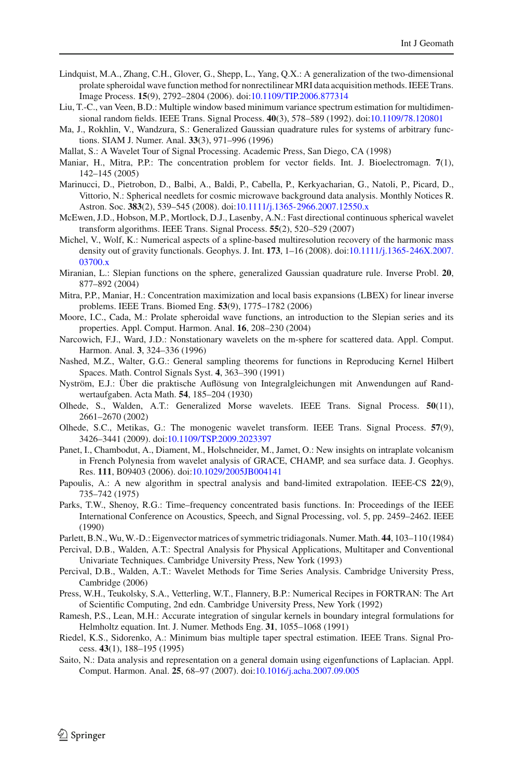- <span id="page-33-16"></span>Lindquist, M.A., Zhang, C.H., Glover, G., Shepp, L., Yang, Q.X.: A generalization of the two-dimensional prolate spheroidal wave function method for nonrectilinear MRI data acquisition methods. IEEE Trans. Image Process. **15**(9), 2792–2804 (2006). doi[:10.1109/TIP.2006.877314](http://dx.doi.org/10.1109/TIP.2006.877314)
- <span id="page-33-17"></span>Liu, T.-C., van Veen, B.D.: Multiple window based minimum variance spectrum estimation for multidimensional random fields. IEEE Trans. Signal Process. **40**(3), 578–589 (1992). doi[:10.1109/78.120801](http://dx.doi.org/10.1109/78.120801)
- <span id="page-33-15"></span>Ma, J., Rokhlin, V., Wandzura, S.: Generalized Gaussian quadrature rules for systems of arbitrary functions. SIAM J. Numer. Anal. **33**(3), 971–996 (1996)
- <span id="page-33-22"></span>Mallat, S.: A Wavelet Tour of Signal Processing. Academic Press, San Diego, CA (1998)
- <span id="page-33-5"></span>Maniar, H., Mitra, P.P.: The concentration problem for vector fields. Int. J. Bioelectromagn. **7**(1), 142–145 (2005)
- <span id="page-33-9"></span>Marinucci, D., Pietrobon, D., Balbi, A., Baldi, P., Cabella, P., Kerkyacharian, G., Natoli, P., Picard, D., Vittorio, N.: Spherical needlets for cosmic microwave background data analysis. Monthly Notices R. Astron. Soc. **383**(2), 539–545 (2008). doi[:10.1111/j.1365-2966.2007.12550.x](http://dx.doi.org/10.1111/j.1365-2966.2007.12550.x)
- <span id="page-33-7"></span>McEwen, J.D., Hobson, M.P., Mortlock, D.J., Lasenby, A.N.: Fast directional continuous spherical wavelet transform algorithms. IEEE Trans. Signal Process. **55**(2), 520–529 (2007)
- <span id="page-33-10"></span>Michel, V., Wolf, K.: Numerical aspects of a spline-based multiresolution recovery of the harmonic mass density out of gravity functionals. Geophys. J. Int. **173**, 1–16 (2008). doi[:10.1111/j.1365-246X.2007.](http://dx.doi.org/10.1111/j.1365-246X.2007.03700.x) [03700.x](http://dx.doi.org/10.1111/j.1365-246X.2007.03700.x)
- <span id="page-33-4"></span>Miranian, L.: Slepian functions on the sphere, generalized Gaussian quadrature rule. Inverse Probl. **20**, 877–892 (2004)
- <span id="page-33-6"></span>Mitra, P.P., Maniar, H.: Concentration maximization and local basis expansions (LBEX) for linear inverse problems. IEEE Trans. Biomed Eng. **53**(9), 1775–1782 (2006)
- <span id="page-33-1"></span>Moore, I.C., Cada, M.: Prolate spheroidal wave functions, an introduction to the Slepian series and its properties. Appl. Comput. Harmon. Anal. **16**, 208–230 (2004)
- <span id="page-33-11"></span>Narcowich, F.J., Ward, J.D.: Nonstationary wavelets on the m-sphere for scattered data. Appl. Comput. Harmon. Anal. **3**, 324–336 (1996)
- <span id="page-33-25"></span>Nashed, M.Z., Walter, G.G.: General sampling theorems for functions in Reproducing Kernel Hilbert Spaces. Math. Control Signals Syst. **4**, 363–390 (1991)
- <span id="page-33-20"></span>Nyström, E.J.: Über die praktische Auflösung von Integralgleichungen mit Anwendungen auf Randwertaufgaben. Acta Math. **54**, 185–204 (1930)
- <span id="page-33-3"></span>Olhede, S., Walden, A.T.: Generalized Morse wavelets. IEEE Trans. Signal Process. **50**(11), 2661–2670 (2002)
- <span id="page-33-24"></span>Olhede, S.C., Metikas, G.: The monogenic wavelet transform. IEEE Trans. Signal Process. **57**(9), 3426–3441 (2009). doi[:10.1109/TSP.2009.2023397](http://dx.doi.org/10.1109/TSP.2009.2023397)
- <span id="page-33-8"></span>Panet, I., Chambodut, A., Diament, M., Holschneider, M., Jamet, O.: New insights on intraplate volcanism in French Polynesia from wavelet analysis of GRACE, CHAMP, and sea surface data. J. Geophys. Res. **111**, B09403 (2006). doi[:10.1029/2005JB004141](http://dx.doi.org/10.1029/2005JB004141)
- <span id="page-33-18"></span>Papoulis, A.: A new algorithm in spectral analysis and band-limited extrapolation. IEEE-CS **22**(9), 735–742 (1975)
- <span id="page-33-12"></span>Parks, T.W., Shenoy, R.G.: Time–frequency concentrated basis functions. In: Proceedings of the IEEE International Conference on Acoustics, Speech, and Signal Processing, vol. 5, pp. 2459–2462. IEEE (1990)
- Parlett, B.N., Wu, W.-D.: Eigenvector matrices of symmetric tridiagonals. Numer. Math. **44**, 103–110 (1984)
- <span id="page-33-19"></span><span id="page-33-0"></span>Percival, D.B., Walden, A.T.: Spectral Analysis for Physical Applications, Multitaper and Conventional Univariate Techniques. Cambridge University Press, New York (1993)
- <span id="page-33-2"></span>Percival, D.B., Walden, A.T.: Wavelet Methods for Time Series Analysis. Cambridge University Press, Cambridge (2006)
- <span id="page-33-21"></span>Press, W.H., Teukolsky, S.A., Vetterling, W.T., Flannery, B.P.: Numerical Recipes in FORTRAN: The Art of Scientific Computing, 2nd edn. Cambridge University Press, New York (1992)
- <span id="page-33-23"></span>Ramesh, P.S., Lean, M.H.: Accurate integration of singular kernels in boundary integral formulations for Helmholtz equation. Int. J. Numer. Methods Eng. **31**, 1055–1068 (1991)
- <span id="page-33-13"></span>Riedel, K.S., Sidorenko, A.: Minimum bias multiple taper spectral estimation. IEEE Trans. Signal Process. **43**(1), 188–195 (1995)
- <span id="page-33-14"></span>Saito, N.: Data analysis and representation on a general domain using eigenfunctions of Laplacian. Appl. Comput. Harmon. Anal. **25**, 68–97 (2007). doi[:10.1016/j.acha.2007.09.005](http://dx.doi.org/10.1016/j.acha.2007.09.005)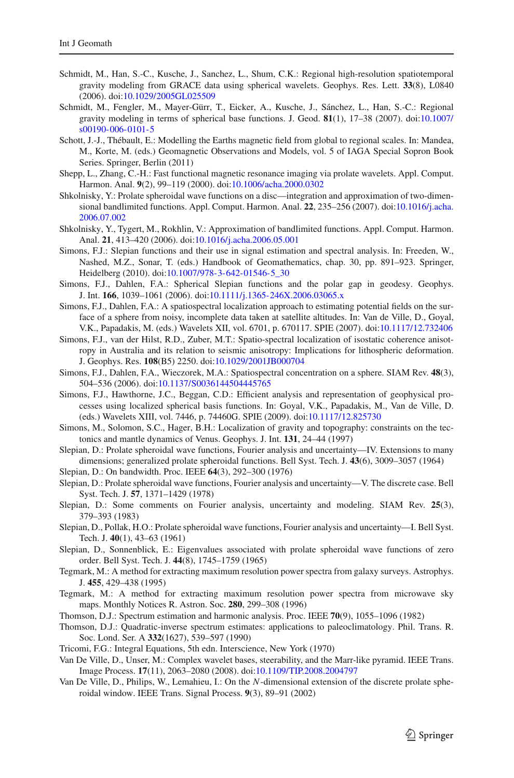- <span id="page-34-12"></span>Schmidt, M., Han, S.-C., Kusche, J., Sanchez, L., Shum, C.K.: Regional high-resolution spatiotemporal gravity modeling from GRACE data using spherical wavelets. Geophys. Res. Lett. **33**(8), L0840 (2006). doi[:10.1029/2005GL025509](http://dx.doi.org/10.1029/2005GL025509)
- <span id="page-34-13"></span>Schmidt, M., Fengler, M., Mayer-Gürr, T., Eicker, A., Kusche, J., Sánchez, L., Han, S.-C.: Regional gravity modeling in terms of spherical base functions. J. Geod. **81**(1), 17–38 (2007). doi[:10.1007/](http://dx.doi.org/10.1007/s00190-006-0101-5) [s00190-006-0101-5](http://dx.doi.org/10.1007/s00190-006-0101-5)
- <span id="page-34-11"></span>Schott, J.-J., Thébault, E.: Modelling the Earths magnetic field from global to regional scales. In: Mandea, M., Korte, M. (eds.) Geomagnetic Observations and Models, vol. 5 of IAGA Special Sopron Book Series. Springer, Berlin (2011)
- <span id="page-34-7"></span>Shepp, L., Zhang, C.-H.: Fast functional magnetic resonance imaging via prolate wavelets. Appl. Comput. Harmon. Anal. **9**(2), 99–119 (2000). doi[:10.1006/acha.2000.0302](http://dx.doi.org/10.1006/acha.2000.0302)
- <span id="page-34-19"></span>Shkolnisky, Y.: Prolate spheroidal wave functions on a disc—integration and approximation of two-dimensional bandlimited functions. Appl. Comput. Harmon. Anal. **22**, 235–256 (2007). doi[:10.1016/j.acha.](http://dx.doi.org/10.1016/j.acha.2006.07.002) [2006.07.002](http://dx.doi.org/10.1016/j.acha.2006.07.002)
- <span id="page-34-4"></span>Shkolnisky, Y., Tygert, M., Rokhlin, V.: Approximation of bandlimited functions. Appl. Comput. Harmon. Anal. **21**, 413–420 (2006). doi[:10.1016/j.acha.2006.05.001](http://dx.doi.org/10.1016/j.acha.2006.05.001)
- <span id="page-34-22"></span>Simons, F.J.: Slepian functions and their use in signal estimation and spectral analysis. In: Freeden, W., Nashed, M.Z., Sonar, T. (eds.) Handbook of Geomathematics, chap. 30, pp. 891–923. Springer, Heidelberg (2010). doi[:10.1007/978-3-642-01546-5\\_30](http://dx.doi.org/10.1007/978-3-642-01546-5_30)
- <span id="page-34-9"></span>Simons, F.J., Dahlen, F.A.: Spherical Slepian functions and the polar gap in geodesy. Geophys. J. Int. **166**, 1039–1061 (2006). doi[:10.1111/j.1365-246X.2006.03065.x](http://dx.doi.org/10.1111/j.1365-246X.2006.03065.x)
- <span id="page-34-24"></span>Simons, F.J., Dahlen, F.A.: A spatiospectral localization approach to estimating potential fields on the surface of a sphere from noisy, incomplete data taken at satellite altitudes. In: Van de Ville, D., Goyal, V.K., Papadakis, M. (eds.) Wavelets XII, vol. 6701, p. 670117. SPIE (2007). doi[:10.1117/12.732406](http://dx.doi.org/10.1117/12.732406)
- <span id="page-34-6"></span>Simons, F.J., van der Hilst, R.D., Zuber, M.T.: Spatio-spectral localization of isostatic coherence anisotropy in Australia and its relation to seismic anisotropy: Implications for lithospheric deformation. J. Geophys. Res. **108**(B5) 2250. doi[:10.1029/2001JB000704](http://dx.doi.org/10.1029/2001JB000704)
- <span id="page-34-8"></span>Simons, F.J., Dahlen, F.A., Wieczorek, M.A.: Spatiospectral concentration on a sphere. SIAM Rev. **48**(3), 504–536 (2006). doi[:10.1137/S0036144504445765](http://dx.doi.org/10.1137/S0036144504445765)
- <span id="page-34-10"></span>Simons, F.J., Hawthorne, J.C., Beggan, C.D.: Efficient analysis and representation of geophysical processes using localized spherical basis functions. In: Goyal, V.K., Papadakis, M., Van de Ville, D. (eds.) Wavelets XIII, vol. 7446, p. 74460G. SPIE (2009). doi[:10.1117/12.825730](http://dx.doi.org/10.1117/12.825730)
- <span id="page-34-16"></span>Simons, M., Solomon, S.C., Hager, B.H.: Localization of gravity and topography: constraints on the tectonics and mantle dynamics of Venus. Geophys. J. Int. **131**, 24–44 (1997)
- <span id="page-34-17"></span>Slepian, D.: Prolate spheroidal wave functions, Fourier analysis and uncertainty—IV. Extensions to many dimensions; generalized prolate spheroidal functions. Bell Syst. Tech. J. **43**(6), 3009–3057 (1964)
- <span id="page-34-20"></span>Slepian, D.: On bandwidth. Proc. IEEE **64**(3), 292–300 (1976)
- <span id="page-34-1"></span>Slepian, D.: Prolate spheroidal wave functions, Fourier analysis and uncertainty—V. The discrete case. Bell Syst. Tech. J. **57**, 1371–1429 (1978)
- <span id="page-34-5"></span>Slepian, D.: Some comments on Fourier analysis, uncertainty and modeling. SIAM Rev. **25**(3), 379–393 (1983)
- <span id="page-34-0"></span>Slepian, D., Pollak, H.O.: Prolate spheroidal wave functions, Fourier analysis and uncertainty—I. Bell Syst. Tech. J. **40**(1), 43–63 (1961)
- <span id="page-34-23"></span>Slepian, D., Sonnenblick, E.: Eigenvalues associated with prolate spheroidal wave functions of zero order. Bell Syst. Tech. J. **44**(8), 1745–1759 (1965)
- <span id="page-34-14"></span>Tegmark, M.: A method for extracting maximum resolution power spectra from galaxy surveys. Astrophys. J. **455**, 429–438 (1995)
- <span id="page-34-15"></span>Tegmark, M.: A method for extracting maximum resolution power spectra from microwave sky maps. Monthly Notices R. Astron. Soc. **280**, 299–308 (1996)
- <span id="page-34-2"></span>Thomson, D.J.: Spectrum estimation and harmonic analysis. Proc. IEEE **70**(9), 1055–1096 (1982)
- <span id="page-34-3"></span>Thomson, D.J.: Quadratic-inverse spectrum estimates: applications to paleoclimatology. Phil. Trans. R. Soc. Lond. Ser. A **332**(1627), 539–597 (1990)
- <span id="page-34-25"></span><span id="page-34-21"></span>Tricomi, F.G.: Integral Equations, 5th edn. Interscience, New York (1970)
- Van De Ville, D., Unser, M.: Complex wavelet bases, steerability, and the Marr-like pyramid. IEEE Trans. Image Process. **17**(11), 2063–2080 (2008). doi[:10.1109/TIP.2008.2004797](http://dx.doi.org/10.1109/TIP.2008.2004797)
- <span id="page-34-18"></span>Van De Ville, D., Philips, W., Lemahieu, I.: On the *N*-dimensional extension of the discrete prolate spheroidal window. IEEE Trans. Signal Process. **9**(3), 89–91 (2002)